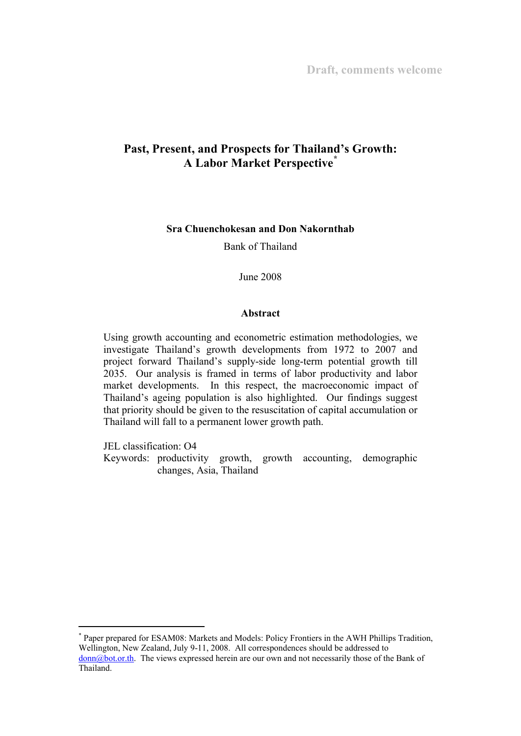# **Past, Present, and Prospects for Thailand's Growth: A Labor Market Perspective\***

### **Sra Chuenchokesan and Don Nakornthab**

Bank of Thailand

June 2008

#### **Abstract**

Using growth accounting and econometric estimation methodologies, we investigate Thailand's growth developments from 1972 to 2007 and project forward Thailand's supply-side long-term potential growth till 2035. Our analysis is framed in terms of labor productivity and labor market developments. In this respect, the macroeconomic impact of Thailand's ageing population is also highlighted. Our findings suggest that priority should be given to the resuscitation of capital accumulation or Thailand will fall to a permanent lower growth path.

JEL classification: O4

 $\ddot{ }$ 

Keywords: productivity growth, growth accounting, demographic changes, Asia, Thailand

<sup>\*</sup> Paper prepared for ESAM08: Markets and Models: Policy Frontiers in the AWH Phillips Tradition, Wellington, New Zealand, July 9-11, 2008. All correspondences should be addressed to donn@bot.or.th. The views expressed herein are our own and not necessarily those of the Bank of Thailand.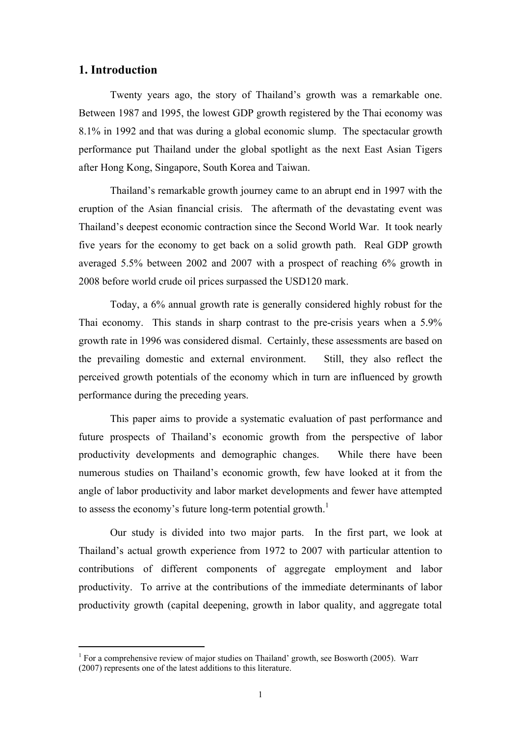## **1. Introduction**

 $\ddot{ }$ 

Twenty years ago, the story of Thailand's growth was a remarkable one. Between 1987 and 1995, the lowest GDP growth registered by the Thai economy was 8.1% in 1992 and that was during a global economic slump. The spectacular growth performance put Thailand under the global spotlight as the next East Asian Tigers after Hong Kong, Singapore, South Korea and Taiwan.

Thailand's remarkable growth journey came to an abrupt end in 1997 with the eruption of the Asian financial crisis. The aftermath of the devastating event was Thailand's deepest economic contraction since the Second World War. It took nearly five years for the economy to get back on a solid growth path. Real GDP growth averaged 5.5% between 2002 and 2007 with a prospect of reaching 6% growth in 2008 before world crude oil prices surpassed the USD120 mark.

Today, a 6% annual growth rate is generally considered highly robust for the Thai economy. This stands in sharp contrast to the pre-crisis years when a 5.9% growth rate in 1996 was considered dismal. Certainly, these assessments are based on the prevailing domestic and external environment. Still, they also reflect the perceived growth potentials of the economy which in turn are influenced by growth performance during the preceding years.

This paper aims to provide a systematic evaluation of past performance and future prospects of Thailand's economic growth from the perspective of labor productivity developments and demographic changes. While there have been numerous studies on Thailand's economic growth, few have looked at it from the angle of labor productivity and labor market developments and fewer have attempted to assess the economy's future long-term potential growth.<sup>1</sup>

Our study is divided into two major parts. In the first part, we look at Thailand's actual growth experience from 1972 to 2007 with particular attention to contributions of different components of aggregate employment and labor productivity. To arrive at the contributions of the immediate determinants of labor productivity growth (capital deepening, growth in labor quality, and aggregate total

<sup>&</sup>lt;sup>1</sup> For a comprehensive review of major studies on Thailand' growth, see Bosworth (2005). Warr (2007) represents one of the latest additions to this literature.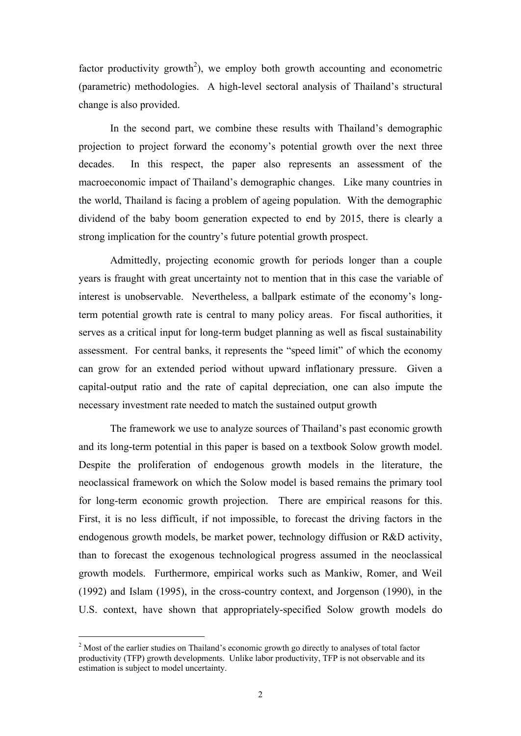factor productivity growth<sup>2</sup>), we employ both growth accounting and econometric (parametric) methodologies. A high-level sectoral analysis of Thailand's structural change is also provided.

In the second part, we combine these results with Thailand's demographic projection to project forward the economy's potential growth over the next three decades. In this respect, the paper also represents an assessment of the macroeconomic impact of Thailand's demographic changes. Like many countries in the world, Thailand is facing a problem of ageing population. With the demographic dividend of the baby boom generation expected to end by 2015, there is clearly a strong implication for the country's future potential growth prospect.

Admittedly, projecting economic growth for periods longer than a couple years is fraught with great uncertainty not to mention that in this case the variable of interest is unobservable. Nevertheless, a ballpark estimate of the economy's longterm potential growth rate is central to many policy areas. For fiscal authorities, it serves as a critical input for long-term budget planning as well as fiscal sustainability assessment. For central banks, it represents the "speed limit" of which the economy can grow for an extended period without upward inflationary pressure. Given a capital-output ratio and the rate of capital depreciation, one can also impute the necessary investment rate needed to match the sustained output growth

The framework we use to analyze sources of Thailand's past economic growth and its long-term potential in this paper is based on a textbook Solow growth model. Despite the proliferation of endogenous growth models in the literature, the neoclassical framework on which the Solow model is based remains the primary tool for long-term economic growth projection. There are empirical reasons for this. First, it is no less difficult, if not impossible, to forecast the driving factors in the endogenous growth models, be market power, technology diffusion or R&D activity, than to forecast the exogenous technological progress assumed in the neoclassical growth models. Furthermore, empirical works such as Mankiw, Romer, and Weil (1992) and Islam (1995), in the cross-country context, and Jorgenson (1990), in the U.S. context, have shown that appropriately-specified Solow growth models do

 $\ddot{ }$ 

<sup>&</sup>lt;sup>2</sup> Most of the earlier studies on Thailand's economic growth go directly to analyses of total factor productivity (TFP) growth developments. Unlike labor productivity, TFP is not observable and its estimation is subject to model uncertainty.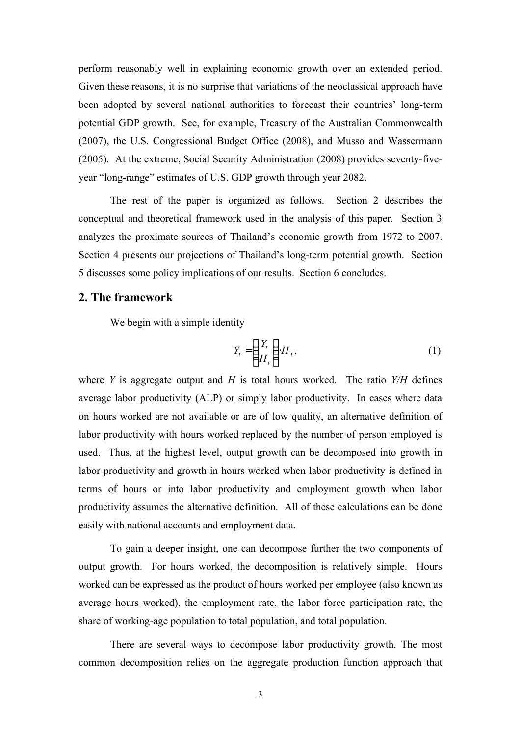perform reasonably well in explaining economic growth over an extended period. Given these reasons, it is no surprise that variations of the neoclassical approach have been adopted by several national authorities to forecast their countries' long-term potential GDP growth. See, for example, Treasury of the Australian Commonwealth (2007), the U.S. Congressional Budget Office (2008), and Musso and Wassermann (2005). At the extreme, Social Security Administration (2008) provides seventy-fiveyear "long-range" estimates of U.S. GDP growth through year 2082.

The rest of the paper is organized as follows. Section 2 describes the conceptual and theoretical framework used in the analysis of this paper. Section 3 analyzes the proximate sources of Thailand's economic growth from 1972 to 2007. Section 4 presents our projections of Thailand's long-term potential growth. Section 5 discusses some policy implications of our results. Section 6 concludes.

## **2. The framework**

We begin with a simple identity

$$
Y_t = \left(\frac{Y_t}{H_t}\right) \cdot H_t,\tag{1}
$$

where *Y* is aggregate output and *H* is total hours worked. The ratio *Y/H* defines average labor productivity (ALP) or simply labor productivity. In cases where data on hours worked are not available or are of low quality, an alternative definition of labor productivity with hours worked replaced by the number of person employed is used. Thus, at the highest level, output growth can be decomposed into growth in labor productivity and growth in hours worked when labor productivity is defined in terms of hours or into labor productivity and employment growth when labor productivity assumes the alternative definition. All of these calculations can be done easily with national accounts and employment data.

To gain a deeper insight, one can decompose further the two components of output growth. For hours worked, the decomposition is relatively simple. Hours worked can be expressed as the product of hours worked per employee (also known as average hours worked), the employment rate, the labor force participation rate, the share of working-age population to total population, and total population.

There are several ways to decompose labor productivity growth. The most common decomposition relies on the aggregate production function approach that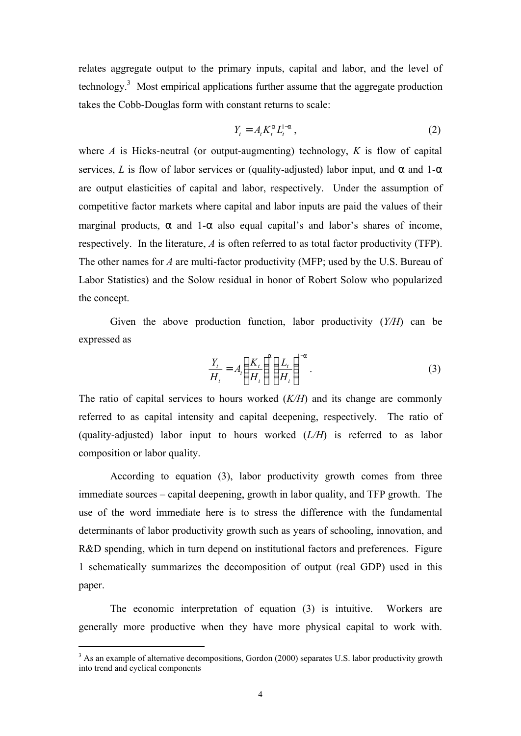relates aggregate output to the primary inputs, capital and labor, and the level of technology.<sup>3</sup> Most empirical applications further assume that the aggregate production takes the Cobb-Douglas form with constant returns to scale:

$$
Y_t = A_t K_t^a L_t^{1-a} \t\t(2)
$$

where *A* is Hicks-neutral (or output-augmenting) technology, *K* is flow of capital services, *L* is flow of labor services or (quality-adjusted) labor input, and  $\alpha$  and  $1-\alpha$ are output elasticities of capital and labor, respectively. Under the assumption of competitive factor markets where capital and labor inputs are paid the values of their marginal products, *a* and 1-*a* also equal capital's and labor's shares of income, respectively. In the literature, *A* is often referred to as total factor productivity (TFP). The other names for *A* are multi-factor productivity (MFP; used by the U.S. Bureau of Labor Statistics) and the Solow residual in honor of Robert Solow who popularized the concept.

Given the above production function, labor productivity (*Y/H*) can be expressed as

$$
\frac{Y_t}{H_t} = A_t \left(\frac{K_t}{H_t}\right)^a \left(\frac{L_t}{H_t}\right)^{1-a}.
$$
\n(3)

The ratio of capital services to hours worked (*K/H*) and its change are commonly referred to as capital intensity and capital deepening, respectively. The ratio of (quality-adjusted) labor input to hours worked (*L/H*) is referred to as labor composition or labor quality.

According to equation (3), labor productivity growth comes from three immediate sources – capital deepening, growth in labor quality, and TFP growth. The use of the word immediate here is to stress the difference with the fundamental determinants of labor productivity growth such as years of schooling, innovation, and R&D spending, which in turn depend on institutional factors and preferences. Figure 1 schematically summarizes the decomposition of output (real GDP) used in this paper.

The economic interpretation of equation (3) is intuitive. Workers are generally more productive when they have more physical capital to work with.

 $\ddot{ }$ 

<sup>&</sup>lt;sup>3</sup> As an example of alternative decompositions, Gordon (2000) separates U.S. labor productivity growth into trend and cyclical components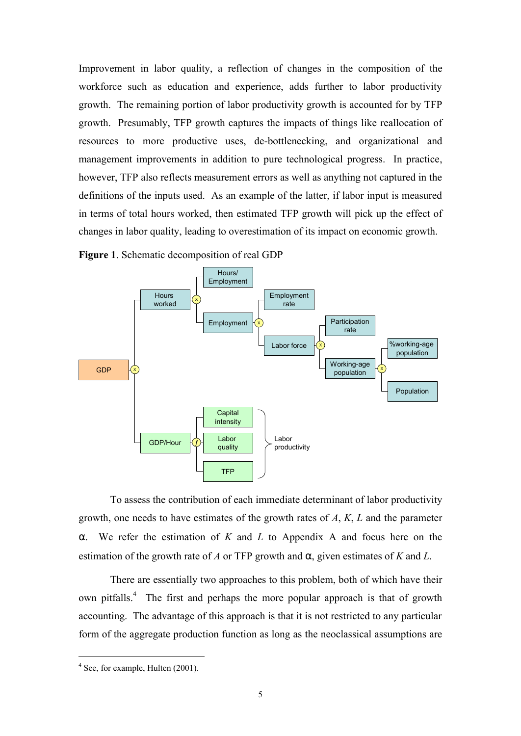Improvement in labor quality, a reflection of changes in the composition of the workforce such as education and experience, adds further to labor productivity growth. The remaining portion of labor productivity growth is accounted for by TFP growth. Presumably, TFP growth captures the impacts of things like reallocation of resources to more productive uses, de-bottlenecking, and organizational and management improvements in addition to pure technological progress. In practice, however, TFP also reflects measurement errors as well as anything not captured in the definitions of the inputs used. As an example of the latter, if labor input is measured in terms of total hours worked, then estimated TFP growth will pick up the effect of changes in labor quality, leading to overestimation of its impact on economic growth.



**Figure 1**. Schematic decomposition of real GDP

To assess the contribution of each immediate determinant of labor productivity growth, one needs to have estimates of the growth rates of *A*, *K*, *L* and the parameter α. We refer the estimation of *K* and *L* to Appendix A and focus here on the estimation of the growth rate of *A* or TFP growth and  $\alpha$ , given estimates of *K* and *L*.

There are essentially two approaches to this problem, both of which have their own pitfalls.<sup>4</sup> The first and perhaps the more popular approach is that of growth accounting. The advantage of this approach is that it is not restricted to any particular form of the aggregate production function as long as the neoclassical assumptions are

 $\ddot{ }$ 

<sup>&</sup>lt;sup>4</sup> See, for example, Hulten (2001).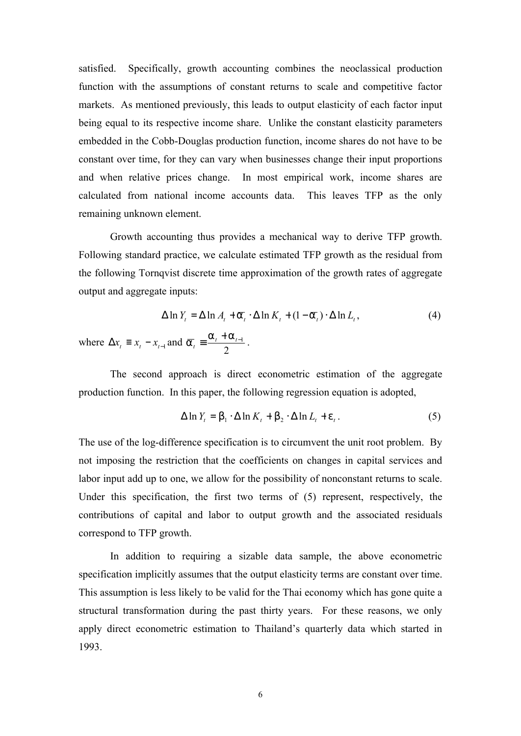satisfied. Specifically, growth accounting combines the neoclassical production function with the assumptions of constant returns to scale and competitive factor markets. As mentioned previously, this leads to output elasticity of each factor input being equal to its respective income share. Unlike the constant elasticity parameters embedded in the Cobb-Douglas production function, income shares do not have to be constant over time, for they can vary when businesses change their input proportions and when relative prices change. In most empirical work, income shares are calculated from national income accounts data. This leaves TFP as the only remaining unknown element.

Growth accounting thus provides a mechanical way to derive TFP growth. Following standard practice, we calculate estimated TFP growth as the residual from the following Tornqvist discrete time approximation of the growth rates of aggregate output and aggregate inputs:

$$
\Delta \ln Y_t = \Delta \ln A_t + \overline{a}_t \cdot \Delta \ln K_t + (1 - \overline{a}_t) \cdot \Delta \ln L_t, \tag{4}
$$

where  $\Delta x_t \equiv x_t - x_{t-1}$  and 2  $\frac{1}{t} \equiv \frac{a_t + a_{t-1}}{2}$  $\overline{a}_t \equiv \frac{a_t + a_{t-1}}{2}$ .

The second approach is direct econometric estimation of the aggregate production function. In this paper, the following regression equation is adopted,

$$
\Delta \ln Y_t = b_1 \cdot \Delta \ln K_t + b_2 \cdot \Delta \ln L_t + e_t. \tag{5}
$$

The use of the log-difference specification is to circumvent the unit root problem. By not imposing the restriction that the coefficients on changes in capital services and labor input add up to one, we allow for the possibility of nonconstant returns to scale. Under this specification, the first two terms of (5) represent, respectively, the contributions of capital and labor to output growth and the associated residuals correspond to TFP growth.

In addition to requiring a sizable data sample, the above econometric specification implicitly assumes that the output elasticity terms are constant over time. This assumption is less likely to be valid for the Thai economy which has gone quite a structural transformation during the past thirty years. For these reasons, we only apply direct econometric estimation to Thailand's quarterly data which started in 1993.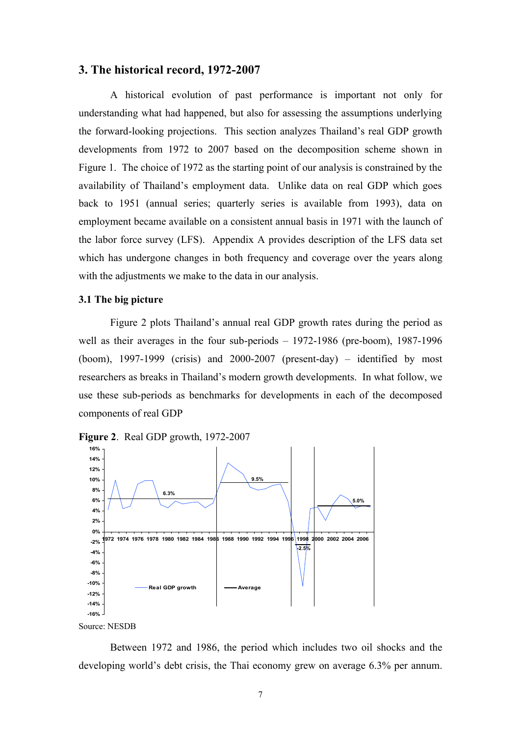### **3. The historical record, 1972-2007**

A historical evolution of past performance is important not only for understanding what had happened, but also for assessing the assumptions underlying the forward-looking projections. This section analyzes Thailand's real GDP growth developments from 1972 to 2007 based on the decomposition scheme shown in Figure 1. The choice of 1972 as the starting point of our analysis is constrained by the availability of Thailand's employment data. Unlike data on real GDP which goes back to 1951 (annual series; quarterly series is available from 1993), data on employment became available on a consistent annual basis in 1971 with the launch of the labor force survey (LFS). Appendix A provides description of the LFS data set which has undergone changes in both frequency and coverage over the years along with the adjustments we make to the data in our analysis.

#### **3.1 The big picture**

Figure 2 plots Thailand's annual real GDP growth rates during the period as well as their averages in the four sub-periods – 1972-1986 (pre-boom), 1987-1996 (boom),  $1997-1999$  (crisis) and  $2000-2007$  (present-day) – identified by most researchers as breaks in Thailand's modern growth developments. In what follow, we use these sub-periods as benchmarks for developments in each of the decomposed components of real GDP





Source: NESDB

Between 1972 and 1986, the period which includes two oil shocks and the developing world's debt crisis, the Thai economy grew on average 6.3% per annum.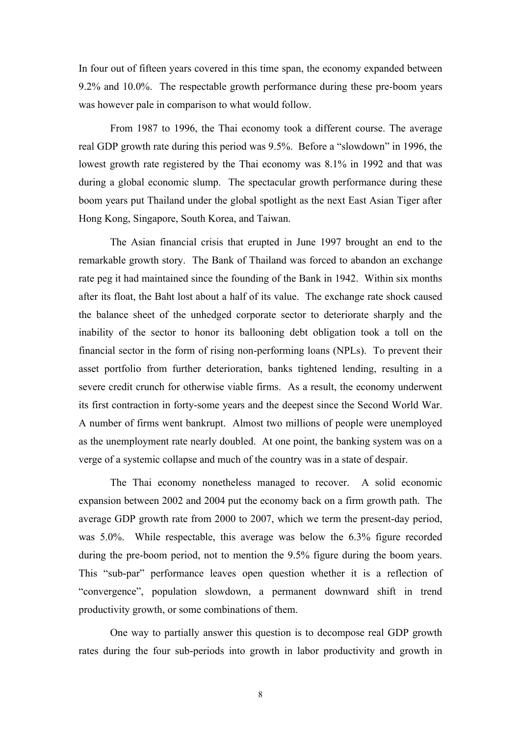In four out of fifteen years covered in this time span, the economy expanded between 9.2% and 10.0%. The respectable growth performance during these pre-boom years was however pale in comparison to what would follow.

From 1987 to 1996, the Thai economy took a different course. The average real GDP growth rate during this period was 9.5%. Before a "slowdown" in 1996, the lowest growth rate registered by the Thai economy was 8.1% in 1992 and that was during a global economic slump. The spectacular growth performance during these boom years put Thailand under the global spotlight as the next East Asian Tiger after Hong Kong, Singapore, South Korea, and Taiwan.

The Asian financial crisis that erupted in June 1997 brought an end to the remarkable growth story. The Bank of Thailand was forced to abandon an exchange rate peg it had maintained since the founding of the Bank in 1942. Within six months after its float, the Baht lost about a half of its value. The exchange rate shock caused the balance sheet of the unhedged corporate sector to deteriorate sharply and the inability of the sector to honor its ballooning debt obligation took a toll on the financial sector in the form of rising non-performing loans (NPLs). To prevent their asset portfolio from further deterioration, banks tightened lending, resulting in a severe credit crunch for otherwise viable firms. As a result, the economy underwent its first contraction in forty-some years and the deepest since the Second World War. A number of firms went bankrupt. Almost two millions of people were unemployed as the unemployment rate nearly doubled. At one point, the banking system was on a verge of a systemic collapse and much of the country was in a state of despair.

The Thai economy nonetheless managed to recover. A solid economic expansion between 2002 and 2004 put the economy back on a firm growth path. The average GDP growth rate from 2000 to 2007, which we term the present-day period, was 5.0%. While respectable, this average was below the 6.3% figure recorded during the pre-boom period, not to mention the 9.5% figure during the boom years. This "sub-par" performance leaves open question whether it is a reflection of "convergence", population slowdown, a permanent downward shift in trend productivity growth, or some combinations of them.

One way to partially answer this question is to decompose real GDP growth rates during the four sub-periods into growth in labor productivity and growth in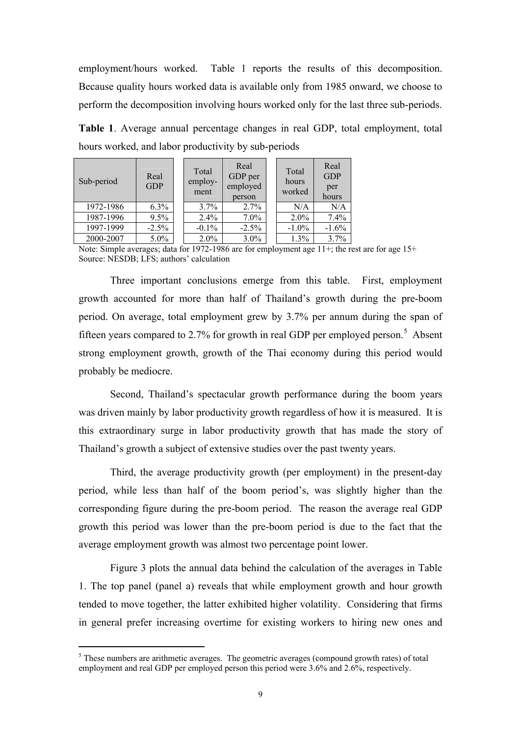employment/hours worked. Table 1 reports the results of this decomposition. Because quality hours worked data is available only from 1985 onward, we choose to perform the decomposition involving hours worked only for the last three sub-periods.

**Table 1**. Average annual percentage changes in real GDP, total employment, total hours worked, and labor productivity by sub-periods

| Sub-period | Real<br><b>GDP</b> | Total<br>employ-<br>ment | Real<br>GDP per<br>employed<br>person | Total<br>hours<br>worked | Real<br><b>GDP</b><br>per<br>hours |
|------------|--------------------|--------------------------|---------------------------------------|--------------------------|------------------------------------|
| 1972-1986  | 6.3%               | $3.7\%$                  | 2.7%                                  | N/A                      | N/A                                |
| 1987-1996  | 9.5%               | 2.4%                     | 7.0%                                  | 2.0%                     | 7.4%                               |
| 1997-1999  | $-2.5\%$           | $-0.1\%$                 | $-2.5\%$                              | $-1.0%$                  | $-1.6%$                            |
| 2000-2007  | 5.0%               | 2.0%                     | 3.0%                                  | 1.3%                     | 3.7%                               |

Note: Simple averages; data for 1972-1986 are for employment age 11+; the rest are for age 15+ Source: NESDB; LFS; authors' calculation

Three important conclusions emerge from this table. First, employment growth accounted for more than half of Thailand's growth during the pre-boom period. On average, total employment grew by 3.7% per annum during the span of fifteen years compared to 2.7% for growth in real GDP per employed person.<sup>5</sup> Absent strong employment growth, growth of the Thai economy during this period would probably be mediocre.

Second, Thailand's spectacular growth performance during the boom years was driven mainly by labor productivity growth regardless of how it is measured. It is this extraordinary surge in labor productivity growth that has made the story of Thailand's growth a subject of extensive studies over the past twenty years.

Third, the average productivity growth (per employment) in the present-day period, while less than half of the boom period's, was slightly higher than the corresponding figure during the pre-boom period. The reason the average real GDP growth this period was lower than the pre-boom period is due to the fact that the average employment growth was almost two percentage point lower.

Figure 3 plots the annual data behind the calculation of the averages in Table 1. The top panel (panel a) reveals that while employment growth and hour growth tended to move together, the latter exhibited higher volatility. Considering that firms in general prefer increasing overtime for existing workers to hiring new ones and

 $\ddot{ }$ 

<sup>&</sup>lt;sup>5</sup> These numbers are arithmetic averages. The geometric averages (compound growth rates) of total employment and real GDP per employed person this period were 3.6% and 2.6%, respectively.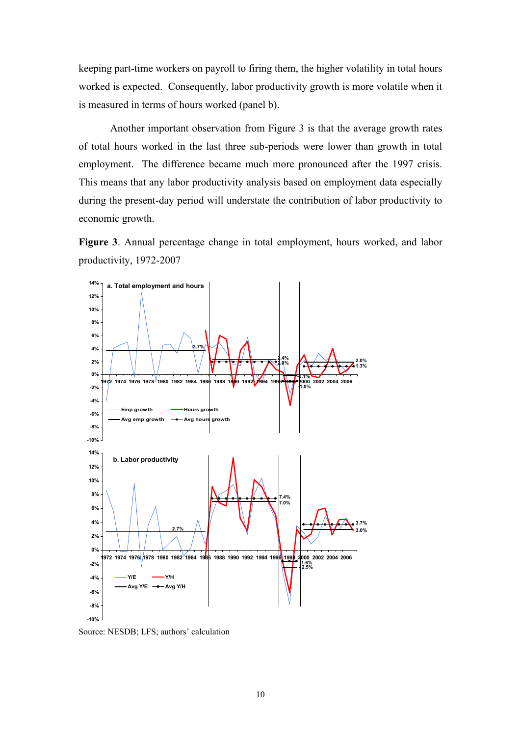keeping part-time workers on payroll to firing them, the higher volatility in total hours worked is expected. Consequently, labor productivity growth is more volatile when it is measured in terms of hours worked (panel b).

Another important observation from Figure 3 is that the average growth rates of total hours worked in the last three sub-periods were lower than growth in total employment. The difference became much more pronounced after the 1997 crisis. This means that any labor productivity analysis based on employment data especially during the present-day period will understate the contribution of labor productivity to economic growth.

**Figure 3**. Annual percentage change in total employment, hours worked, and labor productivity, 1972-2007



Source: NESDB; LFS; authors' calculation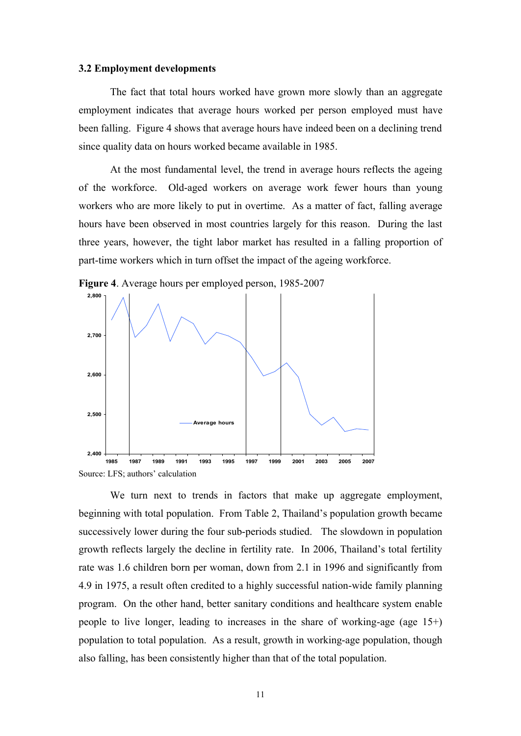#### **3.2 Employment developments**

The fact that total hours worked have grown more slowly than an aggregate employment indicates that average hours worked per person employed must have been falling. Figure 4 shows that average hours have indeed been on a declining trend since quality data on hours worked became available in 1985.

At the most fundamental level, the trend in average hours reflects the ageing of the workforce. Old-aged workers on average work fewer hours than young workers who are more likely to put in overtime. As a matter of fact, falling average hours have been observed in most countries largely for this reason. During the last three years, however, the tight labor market has resulted in a falling proportion of part-time workers which in turn offset the impact of the ageing workforce.



**Figure 4**. Average hours per employed person, 1985-2007

Source: LFS; authors' calculation

We turn next to trends in factors that make up aggregate employment, beginning with total population. From Table 2, Thailand's population growth became successively lower during the four sub-periods studied. The slowdown in population growth reflects largely the decline in fertility rate. In 2006, Thailand's total fertility rate was 1.6 children born per woman, down from 2.1 in 1996 and significantly from 4.9 in 1975, a result often credited to a highly successful nation-wide family planning program. On the other hand, better sanitary conditions and healthcare system enable people to live longer, leading to increases in the share of working-age (age 15+) population to total population. As a result, growth in working-age population, though also falling, has been consistently higher than that of the total population.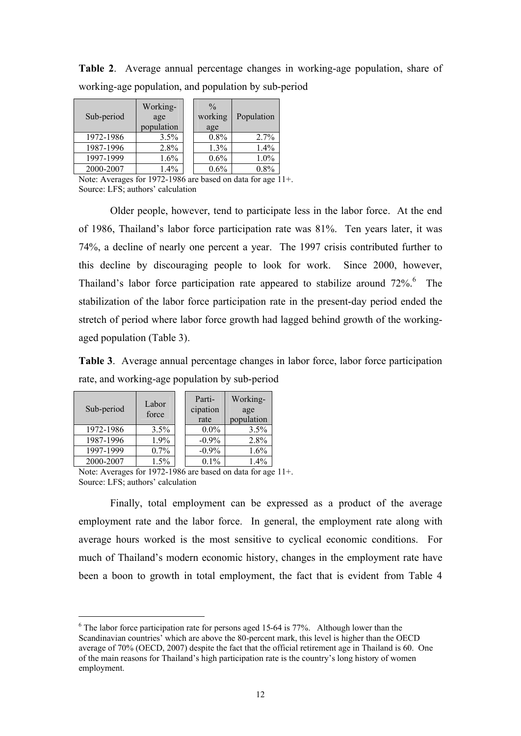**Table 2**. Average annual percentage changes in working-age population, share of working-age population, and population by sub-period

| Sub-period | Working-<br>age<br>population | $\frac{0}{0}$<br>working<br>age | Population |
|------------|-------------------------------|---------------------------------|------------|
| 1972-1986  | 3.5%                          | 0.8%                            | 2.7%       |
| 1987-1996  | 2.8%                          | 1.3%                            | 1.4%       |
| 1997-1999  | 1.6%                          | 0.6%                            | 1.0%       |
| 2000-2007  | 1.4%                          | 0.6%                            | 0.8%       |

Note: Averages for 1972-1986 are based on data for age 11+. Source: LFS; authors' calculation

Older people, however, tend to participate less in the labor force. At the end of 1986, Thailand's labor force participation rate was 81%. Ten years later, it was 74%, a decline of nearly one percent a year. The 1997 crisis contributed further to this decline by discouraging people to look for work. Since 2000, however, Thailand's labor force participation rate appeared to stabilize around 72%.<sup>6</sup> The stabilization of the labor force participation rate in the present-day period ended the stretch of period where labor force growth had lagged behind growth of the workingaged population (Table 3).

**Table 3**. Average annual percentage changes in labor force, labor force participation rate, and working-age population by sub-period

| Sub-period | Labor<br>force | Parti-<br>cipation<br>rate | Working-<br>age<br>population |
|------------|----------------|----------------------------|-------------------------------|
| 1972-1986  | 3.5%           | $0.0\%$                    | 3.5%                          |
| 1987-1996  | 1.9%           | $-0.9\%$                   | 2.8%                          |
| 1997-1999  | 0.7%           | $-0.9\%$                   | $1.6\%$                       |
| 2000-2007  | 1.5%           | $0.1\%$                    | 1.4%                          |

 $\ddot{ }$ 

Note: Averages for 1972-1986 are based on data for age 11+. Source: LFS; authors' calculation

Finally, total employment can be expressed as a product of the average employment rate and the labor force. In general, the employment rate along with average hours worked is the most sensitive to cyclical economic conditions. For much of Thailand's modern economic history, changes in the employment rate have been a boon to growth in total employment, the fact that is evident from Table 4

 $6$  The labor force participation rate for persons aged 15-64 is 77%. Although lower than the Scandinavian countries' which are above the 80-percent mark, this level is higher than the OECD average of 70% (OECD, 2007) despite the fact that the official retirement age in Thailand is 60. One of the main reasons for Thailand's high participation rate is the country's long history of women employment.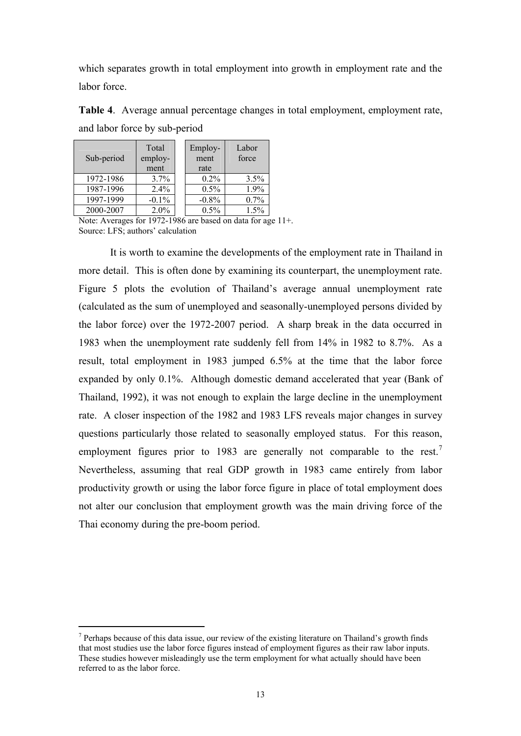which separates growth in total employment into growth in employment rate and the labor force

| Sub-period | Total<br>employ-<br>ment | Employ-<br>ment<br>rate | Labor<br>force |
|------------|--------------------------|-------------------------|----------------|
| 1972-1986  | 3.7%                     | $0.2\%$                 | 3.5%           |
| 1987-1996  | 2.4%                     | 0.5%                    | 1.9%           |
| 1997-1999  | $-0.1\%$                 | $-0.8%$                 | 0.7%           |
| 2000-2007  | 2.0%                     | 0.5%                    | 1.5%           |

**Table 4**. Average annual percentage changes in total employment, employment rate, and labor force by sub-period

Note: Averages for 1972-1986 are based on data for age 11+. Source: LFS; authors' calculation

It is worth to examine the developments of the employment rate in Thailand in more detail. This is often done by examining its counterpart, the unemployment rate. Figure 5 plots the evolution of Thailand's average annual unemployment rate (calculated as the sum of unemployed and seasonally-unemployed persons divided by the labor force) over the 1972-2007 period. A sharp break in the data occurred in 1983 when the unemployment rate suddenly fell from 14% in 1982 to 8.7%. As a result, total employment in 1983 jumped 6.5% at the time that the labor force expanded by only 0.1%. Although domestic demand accelerated that year (Bank of Thailand, 1992), it was not enough to explain the large decline in the unemployment rate. A closer inspection of the 1982 and 1983 LFS reveals major changes in survey questions particularly those related to seasonally employed status. For this reason, employment figures prior to 1983 are generally not comparable to the rest.<sup>7</sup> Nevertheless, assuming that real GDP growth in 1983 came entirely from labor productivity growth or using the labor force figure in place of total employment does not alter our conclusion that employment growth was the main driving force of the Thai economy during the pre-boom period.

 $\ddot{ }$ 

 $<sup>7</sup>$  Perhaps because of this data issue, our review of the existing literature on Thailand's growth finds</sup> that most studies use the labor force figures instead of employment figures as their raw labor inputs. These studies however misleadingly use the term employment for what actually should have been referred to as the labor force.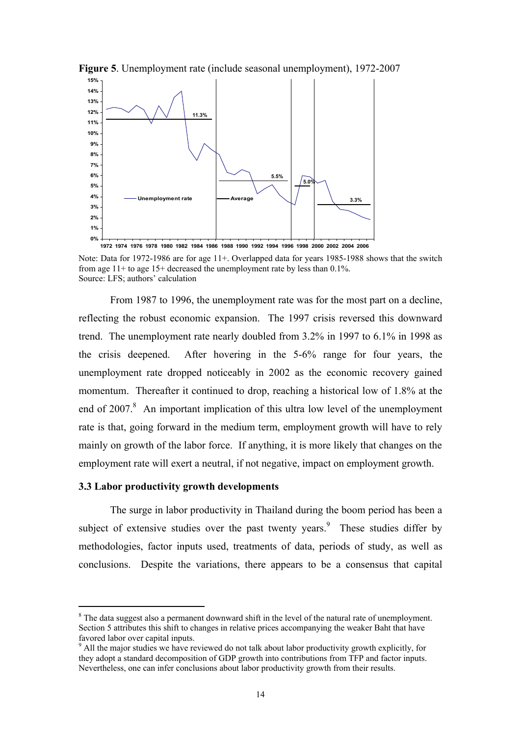

**Figure 5**. Unemployment rate (include seasonal unemployment), 1972-2007

From 1987 to 1996, the unemployment rate was for the most part on a decline, reflecting the robust economic expansion. The 1997 crisis reversed this downward trend. The unemployment rate nearly doubled from 3.2% in 1997 to 6.1% in 1998 as the crisis deepened. After hovering in the 5-6% range for four years, the unemployment rate dropped noticeably in 2002 as the economic recovery gained momentum. Thereafter it continued to drop, reaching a historical low of 1.8% at the end of 2007.<sup>8</sup> An important implication of this ultra low level of the unemployment rate is that, going forward in the medium term, employment growth will have to rely mainly on growth of the labor force. If anything, it is more likely that changes on the employment rate will exert a neutral, if not negative, impact on employment growth.

## **3.3 Labor productivity growth developments**

 $\ddot{ }$ 

The surge in labor productivity in Thailand during the boom period has been a subject of extensive studies over the past twenty years.<sup>9</sup> These studies differ by methodologies, factor inputs used, treatments of data, periods of study, as well as conclusions. Despite the variations, there appears to be a consensus that capital

**<sup>1972</sup> 1974 1976 1978 1980 1982 1984 1986 1988 1990 1992 1994 1996 1998 2000 2002 2004 2006**

Note: Data for 1972-1986 are for age 11+. Overlapped data for years 1985-1988 shows that the switch from age 11+ to age 15+ decreased the unemployment rate by less than 0.1%. Source: LFS; authors' calculation

<sup>&</sup>lt;sup>8</sup> The data suggest also a permanent downward shift in the level of the natural rate of unemployment. Section 5 attributes this shift to changes in relative prices accompanying the weaker Baht that have favored labor over capital inputs.

<sup>&</sup>lt;sup>9</sup> All the major studies we have reviewed do not talk about labor productivity growth explicitly, for they adopt a standard decomposition of GDP growth into contributions from TFP and factor inputs. Nevertheless, one can infer conclusions about labor productivity growth from their results.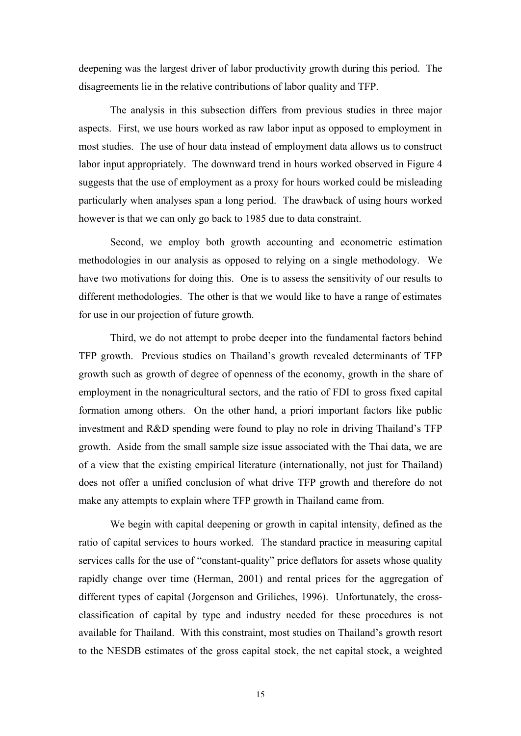deepening was the largest driver of labor productivity growth during this period. The disagreements lie in the relative contributions of labor quality and TFP.

The analysis in this subsection differs from previous studies in three major aspects. First, we use hours worked as raw labor input as opposed to employment in most studies. The use of hour data instead of employment data allows us to construct labor input appropriately. The downward trend in hours worked observed in Figure 4 suggests that the use of employment as a proxy for hours worked could be misleading particularly when analyses span a long period. The drawback of using hours worked however is that we can only go back to 1985 due to data constraint.

Second, we employ both growth accounting and econometric estimation methodologies in our analysis as opposed to relying on a single methodology. We have two motivations for doing this. One is to assess the sensitivity of our results to different methodologies. The other is that we would like to have a range of estimates for use in our projection of future growth.

Third, we do not attempt to probe deeper into the fundamental factors behind TFP growth. Previous studies on Thailand's growth revealed determinants of TFP growth such as growth of degree of openness of the economy, growth in the share of employment in the nonagricultural sectors, and the ratio of FDI to gross fixed capital formation among others. On the other hand, a priori important factors like public investment and R&D spending were found to play no role in driving Thailand's TFP growth. Aside from the small sample size issue associated with the Thai data, we are of a view that the existing empirical literature (internationally, not just for Thailand) does not offer a unified conclusion of what drive TFP growth and therefore do not make any attempts to explain where TFP growth in Thailand came from.

We begin with capital deepening or growth in capital intensity, defined as the ratio of capital services to hours worked. The standard practice in measuring capital services calls for the use of "constant-quality" price deflators for assets whose quality rapidly change over time (Herman, 2001) and rental prices for the aggregation of different types of capital (Jorgenson and Griliches, 1996). Unfortunately, the crossclassification of capital by type and industry needed for these procedures is not available for Thailand. With this constraint, most studies on Thailand's growth resort to the NESDB estimates of the gross capital stock, the net capital stock, a weighted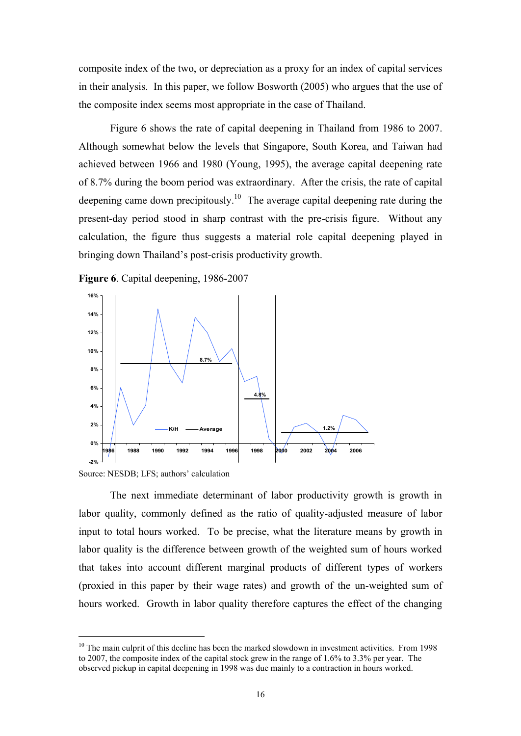composite index of the two, or depreciation as a proxy for an index of capital services in their analysis. In this paper, we follow Bosworth (2005) who argues that the use of the composite index seems most appropriate in the case of Thailand.

Figure 6 shows the rate of capital deepening in Thailand from 1986 to 2007. Although somewhat below the levels that Singapore, South Korea, and Taiwan had achieved between 1966 and 1980 (Young, 1995), the average capital deepening rate of 8.7% during the boom period was extraordinary. After the crisis, the rate of capital deepening came down precipitously.<sup>10</sup> The average capital deepening rate during the present-day period stood in sharp contrast with the pre-crisis figure. Without any calculation, the figure thus suggests a material role capital deepening played in bringing down Thailand's post-crisis productivity growth.

**Figure 6**. Capital deepening, 1986-2007



Source: NESDB; LFS; authors' calculation

 $\ddot{ }$ 

The next immediate determinant of labor productivity growth is growth in labor quality, commonly defined as the ratio of quality-adjusted measure of labor input to total hours worked. To be precise, what the literature means by growth in labor quality is the difference between growth of the weighted sum of hours worked that takes into account different marginal products of different types of workers (proxied in this paper by their wage rates) and growth of the un-weighted sum of hours worked. Growth in labor quality therefore captures the effect of the changing

 $10$  The main culprit of this decline has been the marked slowdown in investment activities. From 1998 to 2007, the composite index of the capital stock grew in the range of 1.6% to 3.3% per year. The observed pickup in capital deepening in 1998 was due mainly to a contraction in hours worked.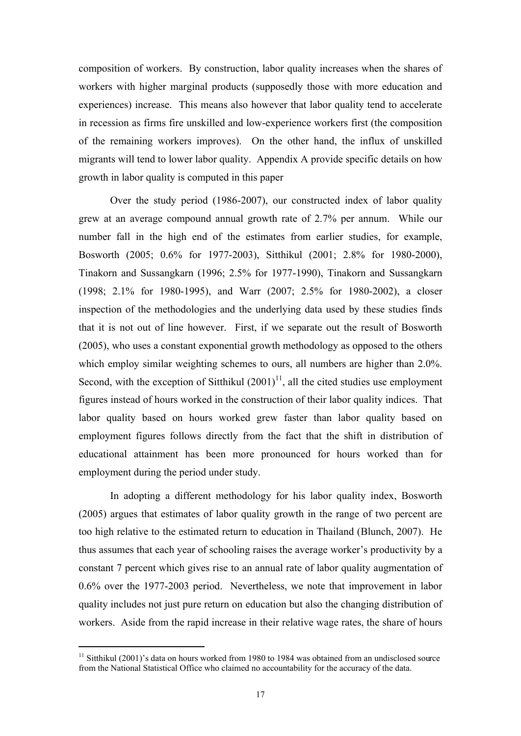composition of workers. By construction, labor quality increases when the shares of workers with higher marginal products (supposedly those with more education and experiences) increase. This means also however that labor quality tend to accelerate in recession as firms fire unskilled and low-experience workers first (the composition of the remaining workers improves). On the other hand, the influx of unskilled migrants will tend to lower labor quality. Appendix A provide specific details on how growth in labor quality is computed in this paper

Over the study period (1986-2007), our constructed index of labor quality grew at an average compound annual growth rate of 2.7% per annum. While our number fall in the high end of the estimates from earlier studies, for example, Bosworth (2005; 0.6% for 1977-2003), Sitthikul (2001; 2.8% for 1980-2000), Tinakorn and Sussangkarn (1996; 2.5% for 1977-1990), Tinakorn and Sussangkarn (1998; 2.1% for 1980-1995), and Warr (2007; 2.5% for 1980-2002), a closer inspection of the methodologies and the underlying data used by these studies finds that it is not out of line however. First, if we separate out the result of Bosworth (2005), who uses a constant exponential growth methodology as opposed to the others which employ similar weighting schemes to ours, all numbers are higher than 2.0%. Second, with the exception of Sitthikul  $(2001)^{11}$ , all the cited studies use employment figures instead of hours worked in the construction of their labor quality indices. That labor quality based on hours worked grew faster than labor quality based on employment figures follows directly from the fact that the shift in distribution of educational attainment has been more pronounced for hours worked than for employment during the period under study.

In adopting a different methodology for his labor quality index, Bosworth (2005) argues that estimates of labor quality growth in the range of two percent are too high relative to the estimated return to education in Thailand (Blunch, 2007). He thus assumes that each year of schooling raises the average worker's productivity by a constant 7 percent which gives rise to an annual rate of labor quality augmentation of 0.6% over the 1977-2003 period. Nevertheless, we note that improvement in labor quality includes not just pure return on education but also the changing distribution of workers. Aside from the rapid increase in their relative wage rates, the share of hours

 $\ddot{}$ 

<sup>&</sup>lt;sup>11</sup> Sitthikul (2001)'s data on hours worked from 1980 to 1984 was obtained from an undisclosed source from the National Statistical Office who claimed no accountability for the accuracy of the data.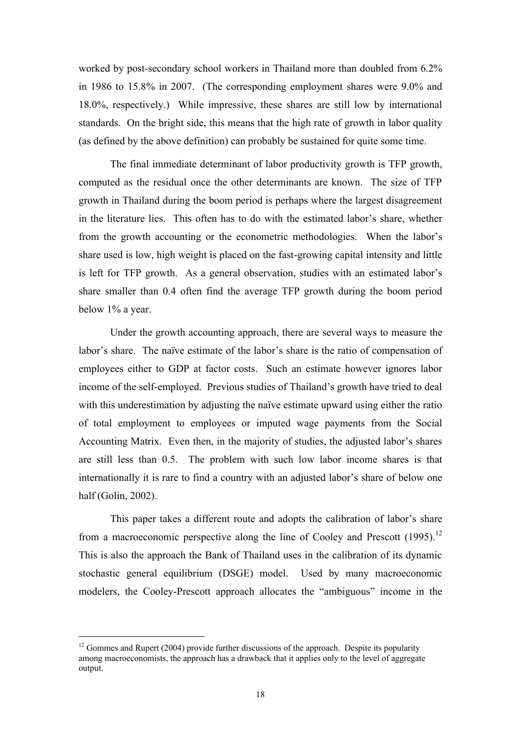worked by post-secondary school workers in Thailand more than doubled from 6.2% in 1986 to 15.8% in 2007. (The corresponding employment shares were 9.0% and 18.0%, respectively.) While impressive, these shares are still low by international standards. On the bright side, this means that the high rate of growth in labor quality (as defined by the above definition) can probably be sustained for quite some time.

The final immediate determinant of labor productivity growth is TFP growth, computed as the residual once the other determinants are known. The size of TFP growth in Thailand during the boom period is perhaps where the largest disagreement in the literature lies. This often has to do with the estimated labor's share, whether from the growth accounting or the econometric methodologies. When the labor's share used is low, high weight is placed on the fast-growing capital intensity and little is left for TFP growth. As a general observation, studies with an estimated labor's share smaller than 0.4 often find the average TFP growth during the boom period below 1% a year.

Under the growth accounting approach, there are several ways to measure the labor's share. The naïve estimate of the labor's share is the ratio of compensation of employees either to GDP at factor costs. Such an estimate however ignores labor income of the self-employed. Previous studies of Thailand's growth have tried to deal with this underestimation by adjusting the naïve estimate upward using either the ratio of total employment to employees or imputed wage payments from the Social Accounting Matrix. Even then, in the majority of studies, the adjusted labor's shares are still less than 0.5. The problem with such low labor income shares is that internationally it is rare to find a country with an adjusted labor's share of below one half (Golin, 2002).

This paper takes a different route and adopts the calibration of labor's share from a macroeconomic perspective along the line of Cooley and Prescott (1995).<sup>12</sup> This is also the approach the Bank of Thailand uses in the calibration of its dynamic stochastic general equilibrium (DSGE) model. Used by many macroeconomic modelers, the Cooley-Prescott approach allocates the "ambiguous" income in the

 $\ddot{ }$ 

 $12$  Gommes and Rupert (2004) provide further discussions of the approach. Despite its popularity among macroeconomists, the approach has a drawback that it applies only to the level of aggregate output.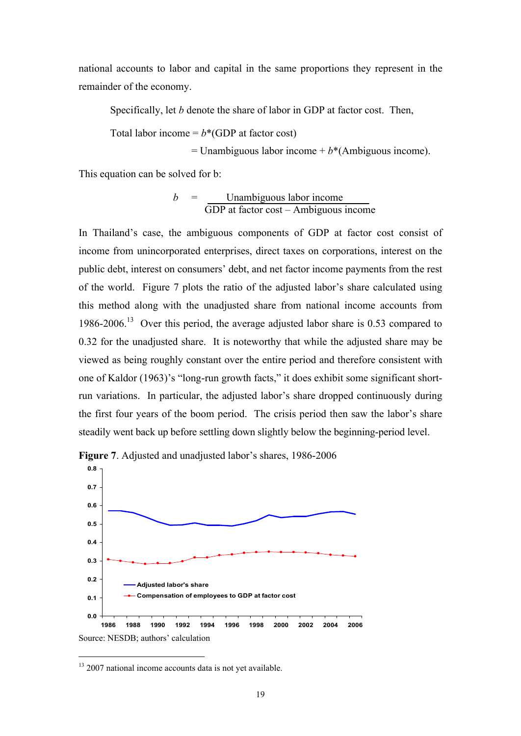national accounts to labor and capital in the same proportions they represent in the remainder of the economy.

Specifically, let *b* denote the share of labor in GDP at factor cost. Then,

Total labor income  $= b^*$ (GDP at factor cost)

 $=$  Unambiguous labor income  $+ b^*$ (Ambiguous income).

This equation can be solved for b:

$$
b = \frac{\text{Unambiguous labor income}}{\text{GDP at factor cost} - \text{Ambiguous income}}
$$

In Thailand's case, the ambiguous components of GDP at factor cost consist of income from unincorporated enterprises, direct taxes on corporations, interest on the public debt, interest on consumers' debt, and net factor income payments from the rest of the world. Figure 7 plots the ratio of the adjusted labor's share calculated using this method along with the unadjusted share from national income accounts from 1986-2006.<sup>13</sup> Over this period, the average adjusted labor share is 0.53 compared to 0.32 for the unadjusted share. It is noteworthy that while the adjusted share may be viewed as being roughly constant over the entire period and therefore consistent with one of Kaldor (1963)'s "long-run growth facts," it does exhibit some significant shortrun variations. In particular, the adjusted labor's share dropped continuously during the first four years of the boom period. The crisis period then saw the labor's share steadily went back up before settling down slightly below the beginning-period level.





 $\ddot{ }$ 

<sup>&</sup>lt;sup>13</sup> 2007 national income accounts data is not yet available.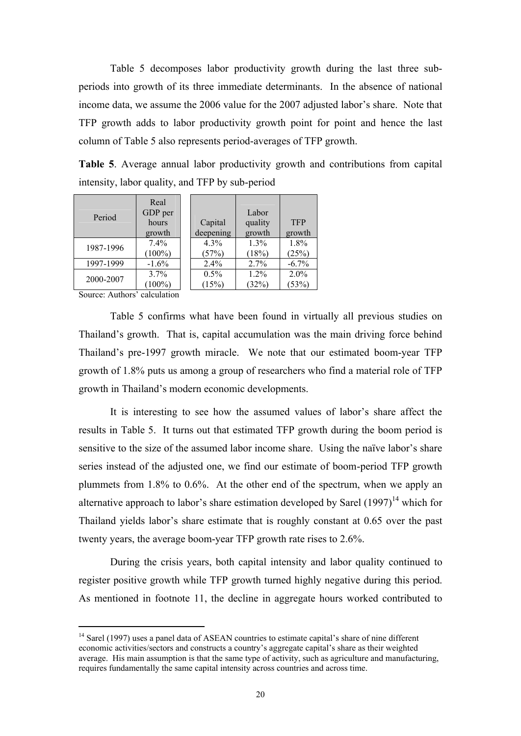Table 5 decomposes labor productivity growth during the last three subperiods into growth of its three immediate determinants. In the absence of national income data, we assume the 2006 value for the 2007 adjusted labor's share. Note that TFP growth adds to labor productivity growth point for point and hence the last column of Table 5 also represents period-averages of TFP growth.

**Table 5**. Average annual labor productivity growth and contributions from capital intensity, labor quality, and TFP by sub-period

TFP growth

1.8%  $(25%)$ 

2.0%  $(53%)$ 

| Period    | Real<br>GDP per<br>hours<br>growth | Capital<br>deepening | Labor<br>quality<br>growth | <b>TFP</b><br>growth |
|-----------|------------------------------------|----------------------|----------------------------|----------------------|
| 1987-1996 | 7.4%<br>$(100\%)$                  | 4.3%<br>(57%)        | 1.3%<br>(18%)              | 1.8%<br>(25%)        |
| 1997-1999 | $-1.6%$                            | 2.4%                 | 2.7%                       | $-6.7%$              |
| 2000-2007 | 3.7%<br>$(100\%)$                  | 0.5%<br>(15%)        | 1.2%<br>(32%)              | $2.0\%$<br>(53%)     |

Source: Authors' calculation

 $\ddot{ }$ 

Table 5 confirms what have been found in virtually all previous studies on Thailand's growth. That is, capital accumulation was the main driving force behind Thailand's pre-1997 growth miracle. We note that our estimated boom-year TFP growth of 1.8% puts us among a group of researchers who find a material role of TFP growth in Thailand's modern economic developments.

It is interesting to see how the assumed values of labor's share affect the results in Table 5. It turns out that estimated TFP growth during the boom period is sensitive to the size of the assumed labor income share. Using the naïve labor's share series instead of the adjusted one, we find our estimate of boom-period TFP growth plummets from 1.8% to 0.6%. At the other end of the spectrum, when we apply an alternative approach to labor's share estimation developed by Sarel  $(1997)^{14}$  which for Thailand yields labor's share estimate that is roughly constant at 0.65 over the past twenty years, the average boom-year TFP growth rate rises to 2.6%.

During the crisis years, both capital intensity and labor quality continued to register positive growth while TFP growth turned highly negative during this period. As mentioned in footnote 11, the decline in aggregate hours worked contributed to

<sup>&</sup>lt;sup>14</sup> Sarel (1997) uses a panel data of ASEAN countries to estimate capital's share of nine different economic activities/sectors and constructs a country's aggregate capital's share as their weighted average. His main assumption is that the same type of activity, such as agriculture and manufacturing, requires fundamentally the same capital intensity across countries and across time.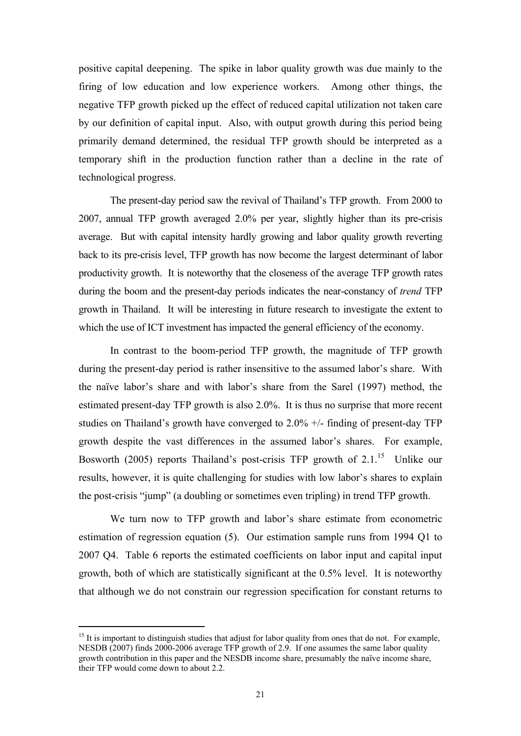positive capital deepening. The spike in labor quality growth was due mainly to the firing of low education and low experience workers. Among other things, the negative TFP growth picked up the effect of reduced capital utilization not taken care by our definition of capital input. Also, with output growth during this period being primarily demand determined, the residual TFP growth should be interpreted as a temporary shift in the production function rather than a decline in the rate of technological progress.

The present-day period saw the revival of Thailand's TFP growth. From 2000 to 2007, annual TFP growth averaged 2.0% per year, slightly higher than its pre-crisis average. But with capital intensity hardly growing and labor quality growth reverting back to its pre-crisis level, TFP growth has now become the largest determinant of labor productivity growth. It is noteworthy that the closeness of the average TFP growth rates during the boom and the present-day periods indicates the near-constancy of *trend* TFP growth in Thailand. It will be interesting in future research to investigate the extent to which the use of ICT investment has impacted the general efficiency of the economy.

In contrast to the boom-period TFP growth, the magnitude of TFP growth during the present-day period is rather insensitive to the assumed labor's share. With the naïve labor's share and with labor's share from the Sarel (1997) method, the estimated present-day TFP growth is also 2.0%. It is thus no surprise that more recent studies on Thailand's growth have converged to 2.0% +/- finding of present-day TFP growth despite the vast differences in the assumed labor's shares. For example, Bosworth (2005) reports Thailand's post-crisis TFP growth of  $2.1<sup>15</sup>$  Unlike our results, however, it is quite challenging for studies with low labor's shares to explain the post-crisis "jump" (a doubling or sometimes even tripling) in trend TFP growth.

We turn now to TFP growth and labor's share estimate from econometric estimation of regression equation (5). Our estimation sample runs from 1994 Q1 to 2007 Q4. Table 6 reports the estimated coefficients on labor input and capital input growth, both of which are statistically significant at the 0.5% level. It is noteworthy that although we do not constrain our regression specification for constant returns to

 $\ddot{ }$ 

<sup>&</sup>lt;sup>15</sup> It is important to distinguish studies that adjust for labor quality from ones that do not. For example, NESDB (2007) finds 2000-2006 average TFP growth of 2.9. If one assumes the same labor quality growth contribution in this paper and the NESDB income share, presumably the naïve income share, their TFP would come down to about 2.2.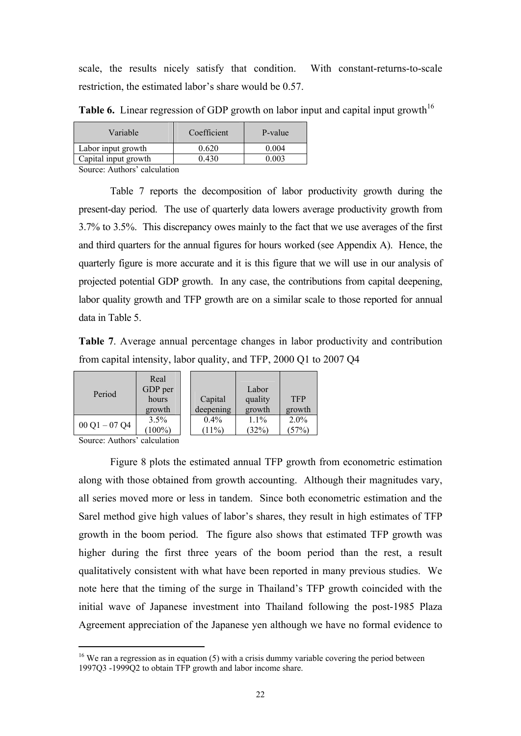scale, the results nicely satisfy that condition. With constant-returns-to-scale restriction, the estimated labor's share would be 0.57.

| Variable             | Coefficient | P-value |
|----------------------|-------------|---------|
| Labor input growth   | 0.620       | 0.004   |
| Capital input growth | 0 430       | በ በበ3   |

**Table 6.** Linear regression of GDP growth on labor input and capital input growth<sup>16</sup>

Source: Authors' calculation

Table 7 reports the decomposition of labor productivity growth during the present-day period. The use of quarterly data lowers average productivity growth from 3.7% to 3.5%. This discrepancy owes mainly to the fact that we use averages of the first and third quarters for the annual figures for hours worked (see Appendix A). Hence, the quarterly figure is more accurate and it is this figure that we will use in our analysis of projected potential GDP growth. In any case, the contributions from capital deepening, labor quality growth and TFP growth are on a similar scale to those reported for annual data in Table 5.

**Table 7**. Average annual percentage changes in labor productivity and contribution from capital intensity, labor quality, and TFP, 2000 Q1 to 2007 Q4

| Period        | Real<br>GDP per |           | Labor   |            |
|---------------|-----------------|-----------|---------|------------|
|               | hours           | Capital   | quality | <b>TFP</b> |
|               | growth          | deepening | growth  | growth     |
| $00Q1 - 07Q4$ | $3.5\%$         | $0.4\%$   | $1.1\%$ | $2.0\%$    |
|               | $(100\%)$       | (11%)     | (32%)   | (57%)      |

Source: Authors' calculation

 $\ddot{}$ 

Figure 8 plots the estimated annual TFP growth from econometric estimation along with those obtained from growth accounting. Although their magnitudes vary, all series moved more or less in tandem. Since both econometric estimation and the Sarel method give high values of labor's shares, they result in high estimates of TFP growth in the boom period. The figure also shows that estimated TFP growth was higher during the first three years of the boom period than the rest, a result qualitatively consistent with what have been reported in many previous studies. We note here that the timing of the surge in Thailand's TFP growth coincided with the initial wave of Japanese investment into Thailand following the post-1985 Plaza Agreement appreciation of the Japanese yen although we have no formal evidence to

 $16$  We ran a regression as in equation (5) with a crisis dummy variable covering the period between 1997Q3 -1999Q2 to obtain TFP growth and labor income share.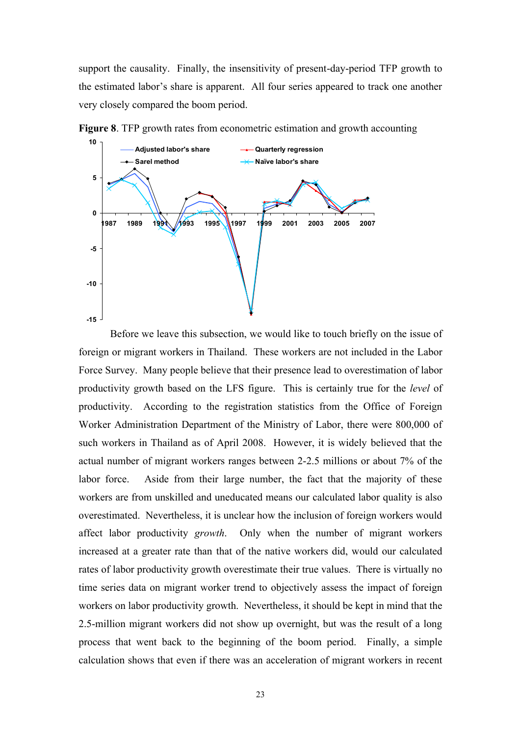support the causality. Finally, the insensitivity of present-day-period TFP growth to the estimated labor's share is apparent. All four series appeared to track one another very closely compared the boom period.



**Figure 8**. TFP growth rates from econometric estimation and growth accounting

Before we leave this subsection, we would like to touch briefly on the issue of foreign or migrant workers in Thailand. These workers are not included in the Labor Force Survey. Many people believe that their presence lead to overestimation of labor productivity growth based on the LFS figure. This is certainly true for the *level* of productivity. According to the registration statistics from the Office of Foreign Worker Administration Department of the Ministry of Labor, there were 800,000 of such workers in Thailand as of April 2008. However, it is widely believed that the actual number of migrant workers ranges between 2-2.5 millions or about 7% of the labor force. Aside from their large number, the fact that the majority of these workers are from unskilled and uneducated means our calculated labor quality is also overestimated. Nevertheless, it is unclear how the inclusion of foreign workers would affect labor productivity *growth*. Only when the number of migrant workers increased at a greater rate than that of the native workers did, would our calculated rates of labor productivity growth overestimate their true values. There is virtually no time series data on migrant worker trend to objectively assess the impact of foreign workers on labor productivity growth. Nevertheless, it should be kept in mind that the 2.5-million migrant workers did not show up overnight, but was the result of a long process that went back to the beginning of the boom period. Finally, a simple calculation shows that even if there was an acceleration of migrant workers in recent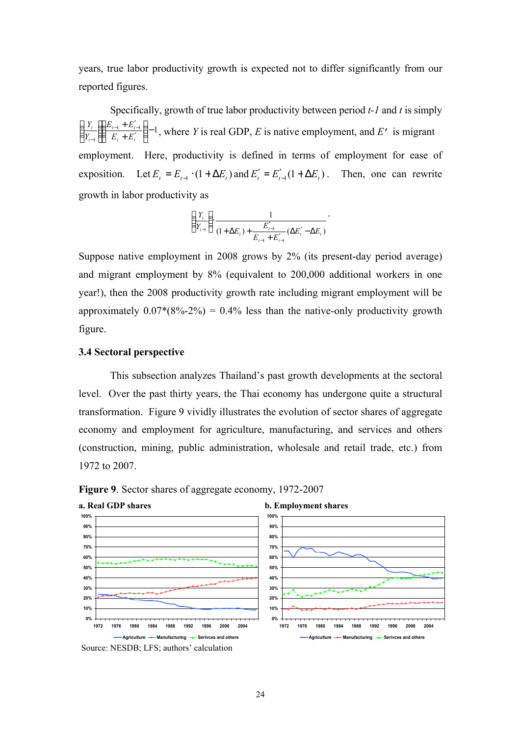years, true labor productivity growth is expected not to differ significantly from our reported figures.

Specifically, growth of true labor productivity between period *t-1* and *t* is simply  $\frac{1}{\sqrt{1}}$  –  $\frac{L_{t-1}}{L}$  – 1  $\frac{1}{1} \left[ \frac{L_{t-1} + L_{t-1}}{E_t + E'_t} \right]$  $\overline{\phantom{a}}$  $\lambda$ I l ſ  $+ E'$  $+ E_{t}^{\prime}$  $\overline{1}$  $\lambda$ I l  $\left( Y_{t} \right) E_{t-1} + E'_{t-1}$  $-1$  *t*  $\boldsymbol{L}_t$  **i**  $\boldsymbol{L}_t$  $_{t-1}$   $\cdot$   $\boldsymbol{\mu}_t$ *t t*  $E$ <sub>r</sub> +  $E$  $E_{t-1} + E$ *Y*  $\frac{Y_t}{Y_t}$   $\left( \frac{E_{t-1} + E_{t-1}'}{E_{t-1} + E_{t-1}'} \right) - 1$ , where *Y* is real GDP, *E* is native employment, and *E'* is migrant employment. Here, productivity is defined in terms of employment for ease of exposition. Let  $E_t = E_{t-1} \cdot (1 + \Delta E_t)$  and  $E'_t = E'_{t-1} (1 + \Delta E_t)$ . Then, one can rewrite growth in labor productivity as

$$
\left(\frac{Y_{t}}{Y_{t-1}}\right) \frac{1}{(1 + \Delta E_{t}) + \frac{E'_{t-1}}{E_{t-1} + E'_{t-1}} (\Delta E'_{t} - \Delta E_{t})}.
$$

Suppose native employment in 2008 grows by 2% (its present-day period average) and migrant employment by 8% (equivalent to 200,000 additional workers in one year!), then the 2008 productivity growth rate including migrant employment will be approximately  $0.07*(8\% - 2\%) = 0.4\%$  less than the native-only productivity growth figure.

#### **3.4 Sectoral perspective**

This subsection analyzes Thailand's past growth developments at the sectoral level. Over the past thirty years, the Thai economy has undergone quite a structural transformation. Figure 9 vividly illustrates the evolution of sector shares of aggregate economy and employment for agriculture, manufacturing, and services and others (construction, mining, public administration, wholesale and retail trade, etc.) from 1972 to 2007.





Source: NESDB; LFS; authors' calculation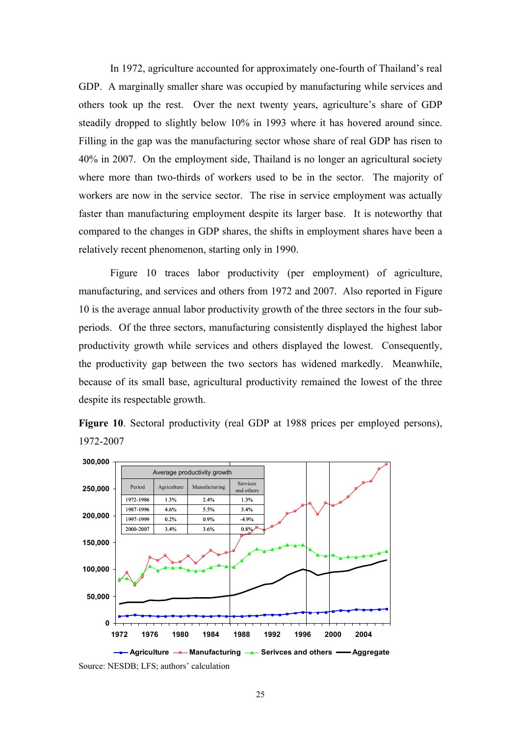In 1972, agriculture accounted for approximately one-fourth of Thailand's real GDP. A marginally smaller share was occupied by manufacturing while services and others took up the rest. Over the next twenty years, agriculture's share of GDP steadily dropped to slightly below 10% in 1993 where it has hovered around since. Filling in the gap was the manufacturing sector whose share of real GDP has risen to 40% in 2007. On the employment side, Thailand is no longer an agricultural society where more than two-thirds of workers used to be in the sector. The majority of workers are now in the service sector. The rise in service employment was actually faster than manufacturing employment despite its larger base. It is noteworthy that compared to the changes in GDP shares, the shifts in employment shares have been a relatively recent phenomenon, starting only in 1990.

Figure 10 traces labor productivity (per employment) of agriculture, manufacturing, and services and others from 1972 and 2007. Also reported in Figure 10 is the average annual labor productivity growth of the three sectors in the four subperiods. Of the three sectors, manufacturing consistently displayed the highest labor productivity growth while services and others displayed the lowest. Consequently, the productivity gap between the two sectors has widened markedly. Meanwhile, because of its small base, agricultural productivity remained the lowest of the three despite its respectable growth.



**Figure 10**. Sectoral productivity (real GDP at 1988 prices per employed persons), 1972-2007

Source: NESDB; LFS; authors' calculation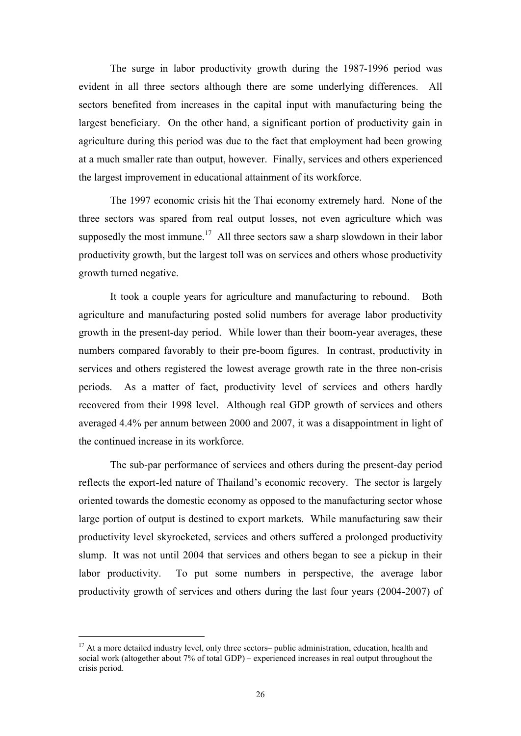The surge in labor productivity growth during the 1987-1996 period was evident in all three sectors although there are some underlying differences. All sectors benefited from increases in the capital input with manufacturing being the largest beneficiary. On the other hand, a significant portion of productivity gain in agriculture during this period was due to the fact that employment had been growing at a much smaller rate than output, however. Finally, services and others experienced the largest improvement in educational attainment of its workforce.

The 1997 economic crisis hit the Thai economy extremely hard. None of the three sectors was spared from real output losses, not even agriculture which was supposedly the most immune.<sup>17</sup> All three sectors saw a sharp slowdown in their labor productivity growth, but the largest toll was on services and others whose productivity growth turned negative.

It took a couple years for agriculture and manufacturing to rebound. Both agriculture and manufacturing posted solid numbers for average labor productivity growth in the present-day period. While lower than their boom-year averages, these numbers compared favorably to their pre-boom figures. In contrast, productivity in services and others registered the lowest average growth rate in the three non-crisis periods. As a matter of fact, productivity level of services and others hardly recovered from their 1998 level. Although real GDP growth of services and others averaged 4.4% per annum between 2000 and 2007, it was a disappointment in light of the continued increase in its workforce.

The sub-par performance of services and others during the present-day period reflects the export-led nature of Thailand's economic recovery. The sector is largely oriented towards the domestic economy as opposed to the manufacturing sector whose large portion of output is destined to export markets. While manufacturing saw their productivity level skyrocketed, services and others suffered a prolonged productivity slump. It was not until 2004 that services and others began to see a pickup in their labor productivity. To put some numbers in perspective, the average labor productivity growth of services and others during the last four years (2004-2007) of

 $\ddot{ }$ 

<sup>&</sup>lt;sup>17</sup> At a more detailed industry level, only three sectors– public administration, education, health and social work (altogether about 7% of total GDP) – experienced increases in real output throughout the crisis period.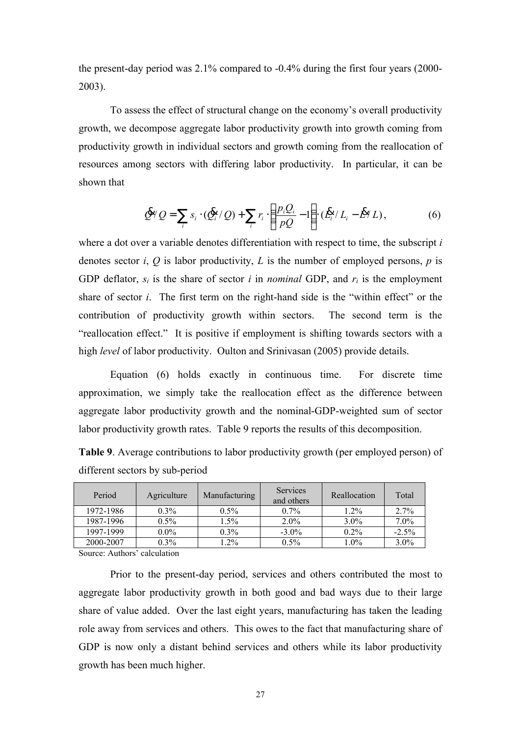the present-day period was 2.1% compared to -0.4% during the first four years (2000- 2003).

To assess the effect of structural change on the economy's overall productivity growth, we decompose aggregate labor productivity growth into growth coming from productivity growth in individual sectors and growth coming from the reallocation of resources among sectors with differing labor productivity. In particular, it can be shown that

$$
\oint_{\gamma} Q = \sum_{i} s_i \cdot (\oint_{i}^{R} / Q) + \sum_{i} r_i \cdot \left( \frac{p_i Q_i}{pQ} - 1 \right) \cdot (\oint_{i}^{R} / L_i - \oint_{\gamma}^{R} L), \tag{6}
$$

where a dot over a variable denotes differentiation with respect to time, the subscript *i* denotes sector *i*, *Q* is labor productivity, *L* is the number of employed persons, *p* is GDP deflator,  $s_i$  is the share of sector *i* in *nominal* GDP, and  $r_i$  is the employment share of sector *i*. The first term on the right-hand side is the "within effect" or the contribution of productivity growth within sectors. The second term is the "reallocation effect." It is positive if employment is shifting towards sectors with a high *level* of labor productivity. Oulton and Srinivasan (2005) provide details.

Equation (6) holds exactly in continuous time. For discrete time approximation, we simply take the reallocation effect as the difference between aggregate labor productivity growth and the nominal-GDP-weighted sum of sector labor productivity growth rates. Table 9 reports the results of this decomposition.

|                                 | <u>.</u> |  |  |
|---------------------------------|----------|--|--|
| different sectors by sub-period |          |  |  |
|                                 |          |  |  |

**Table 9**. Average contributions to labor productivity growth (per employed person) of

| Period                                    | Agriculture | Manufacturing | Services<br>and others | Reallocation | Total    |
|-------------------------------------------|-------------|---------------|------------------------|--------------|----------|
| 1972-1986                                 | $0.3\%$     | $0.5\%$       | $0.7\%$                | 1.2%         | 2.7%     |
| 1987-1996                                 | $0.5\%$     | $1.5\%$       | $2.0\%$                | $3.0\%$      | $7.0\%$  |
| 1997-1999                                 | $0.0\%$     | $0.3\%$       | $-3.0\%$               | $0.2\%$      | $-2.5\%$ |
| 2000-2007                                 | $0.3\%$     | $1.2\%$       | $0.5\%$                | $1.0\%$      | $3.0\%$  |
| <b>Service Contract Contract Contract</b> |             |               |                        |              |          |

Source: Authors' calculation

Prior to the present-day period, services and others contributed the most to aggregate labor productivity growth in both good and bad ways due to their large share of value added. Over the last eight years, manufacturing has taken the leading role away from services and others. This owes to the fact that manufacturing share of GDP is now only a distant behind services and others while its labor productivity growth has been much higher.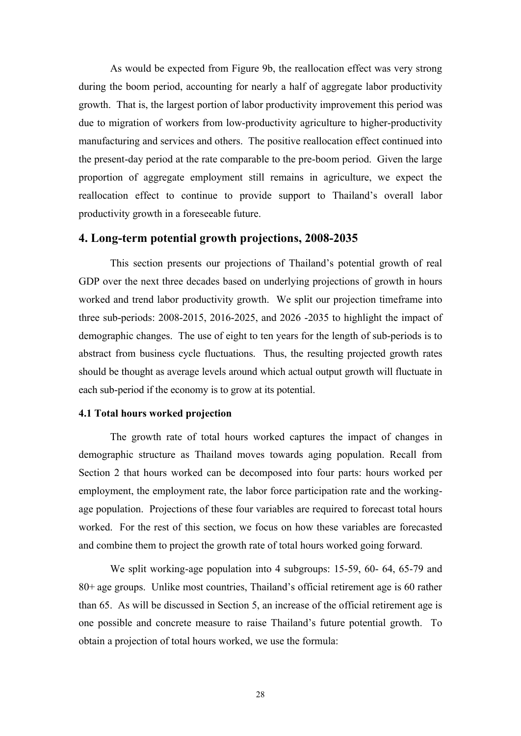As would be expected from Figure 9b, the reallocation effect was very strong during the boom period, accounting for nearly a half of aggregate labor productivity growth. That is, the largest portion of labor productivity improvement this period was due to migration of workers from low-productivity agriculture to higher-productivity manufacturing and services and others. The positive reallocation effect continued into the present-day period at the rate comparable to the pre-boom period. Given the large proportion of aggregate employment still remains in agriculture, we expect the reallocation effect to continue to provide support to Thailand's overall labor productivity growth in a foreseeable future.

## **4. Long-term potential growth projections, 2008-2035**

This section presents our projections of Thailand's potential growth of real GDP over the next three decades based on underlying projections of growth in hours worked and trend labor productivity growth. We split our projection timeframe into three sub-periods: 2008-2015, 2016-2025, and 2026 -2035 to highlight the impact of demographic changes. The use of eight to ten years for the length of sub-periods is to abstract from business cycle fluctuations. Thus, the resulting projected growth rates should be thought as average levels around which actual output growth will fluctuate in each sub-period if the economy is to grow at its potential.

### **4.1 Total hours worked projection**

The growth rate of total hours worked captures the impact of changes in demographic structure as Thailand moves towards aging population. Recall from Section 2 that hours worked can be decomposed into four parts: hours worked per employment, the employment rate, the labor force participation rate and the workingage population. Projections of these four variables are required to forecast total hours worked. For the rest of this section, we focus on how these variables are forecasted and combine them to project the growth rate of total hours worked going forward.

We split working-age population into 4 subgroups: 15-59, 60- 64, 65-79 and 80+ age groups. Unlike most countries, Thailand's official retirement age is 60 rather than 65. As will be discussed in Section 5, an increase of the official retirement age is one possible and concrete measure to raise Thailand's future potential growth. To obtain a projection of total hours worked, we use the formula: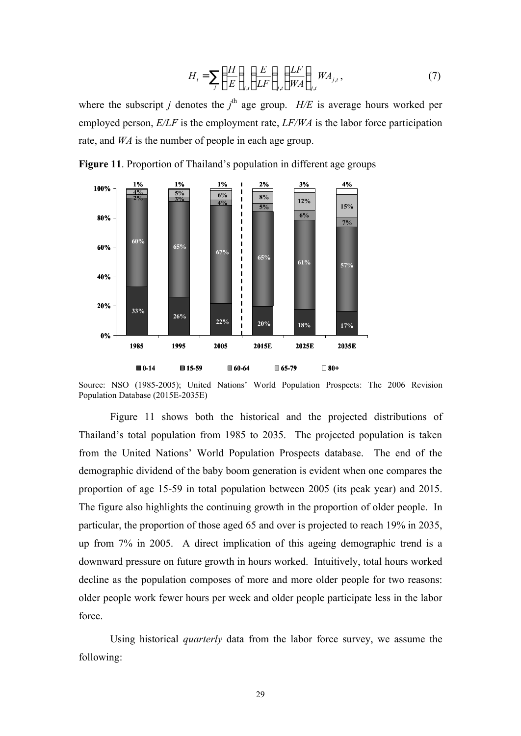$$
H_t = \sum_j \left(\frac{H}{E}\right)_{j,t} \left(\frac{E}{LF}\right)_{j,t} \left(\frac{LF}{WA}\right)_{j,t} WA_{j,t},\tag{7}
$$

where the subscript *j* denotes the  $j^{\text{th}}$  age group. *H/E* is average hours worked per employed person, *E/LF* is the employment rate, *LF/WA* is the labor force participation rate, and *WA* is the number of people in each age group.



**Figure 11**. Proportion of Thailand's population in different age groups

Figure 11 shows both the historical and the projected distributions of Thailand's total population from 1985 to 2035. The projected population is taken from the United Nations' World Population Prospects database. The end of the demographic dividend of the baby boom generation is evident when one compares the proportion of age 15-59 in total population between 2005 (its peak year) and 2015. The figure also highlights the continuing growth in the proportion of older people. In particular, the proportion of those aged 65 and over is projected to reach 19% in 2035, up from 7% in 2005. A direct implication of this ageing demographic trend is a downward pressure on future growth in hours worked. Intuitively, total hours worked decline as the population composes of more and more older people for two reasons: older people work fewer hours per week and older people participate less in the labor force.

Using historical *quarterly* data from the labor force survey, we assume the following:

Source: NSO (1985-2005); United Nations' World Population Prospects: The 2006 Revision Population Database (2015E-2035E)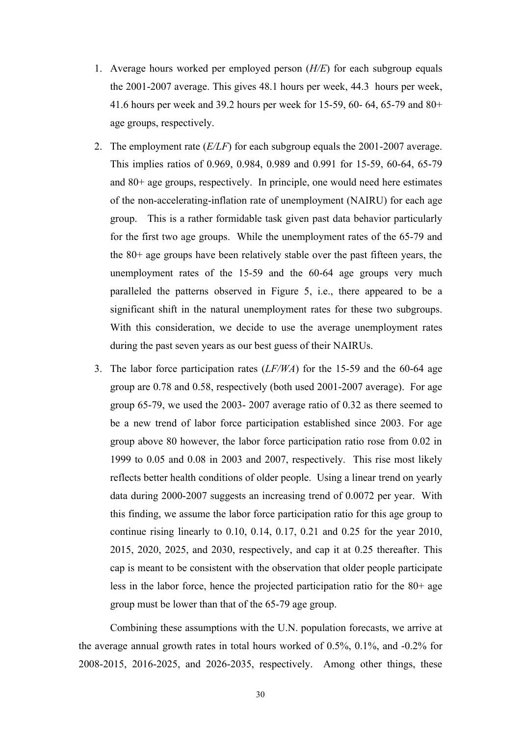- 1. Average hours worked per employed person (*H/E*) for each subgroup equals the 2001-2007 average. This gives 48.1 hours per week, 44.3 hours per week, 41.6 hours per week and 39.2 hours per week for 15-59, 60- 64, 65-79 and 80+ age groups, respectively.
- 2. The employment rate (*E/LF*) for each subgroup equals the 2001-2007 average. This implies ratios of 0.969, 0.984, 0.989 and 0.991 for 15-59, 60-64, 65-79 and 80+ age groups, respectively. In principle, one would need here estimates of the non-accelerating-inflation rate of unemployment (NAIRU) for each age group. This is a rather formidable task given past data behavior particularly for the first two age groups. While the unemployment rates of the 65-79 and the 80+ age groups have been relatively stable over the past fifteen years, the unemployment rates of the 15-59 and the 60-64 age groups very much paralleled the patterns observed in Figure 5, i.e., there appeared to be a significant shift in the natural unemployment rates for these two subgroups. With this consideration, we decide to use the average unemployment rates during the past seven years as our best guess of their NAIRUs.
- 3. The labor force participation rates (*LF/WA*) for the 15-59 and the 60-64 age group are 0.78 and 0.58, respectively (both used 2001-2007 average). For age group 65-79, we used the 2003- 2007 average ratio of 0.32 as there seemed to be a new trend of labor force participation established since 2003. For age group above 80 however, the labor force participation ratio rose from 0.02 in 1999 to 0.05 and 0.08 in 2003 and 2007, respectively. This rise most likely reflects better health conditions of older people. Using a linear trend on yearly data during 2000-2007 suggests an increasing trend of 0.0072 per year. With this finding, we assume the labor force participation ratio for this age group to continue rising linearly to 0.10, 0.14, 0.17, 0.21 and 0.25 for the year 2010, 2015, 2020, 2025, and 2030, respectively, and cap it at 0.25 thereafter. This cap is meant to be consistent with the observation that older people participate less in the labor force, hence the projected participation ratio for the 80+ age group must be lower than that of the 65-79 age group.

Combining these assumptions with the U.N. population forecasts, we arrive at the average annual growth rates in total hours worked of 0.5%, 0.1%, and -0.2% for 2008-2015, 2016-2025, and 2026-2035, respectively. Among other things, these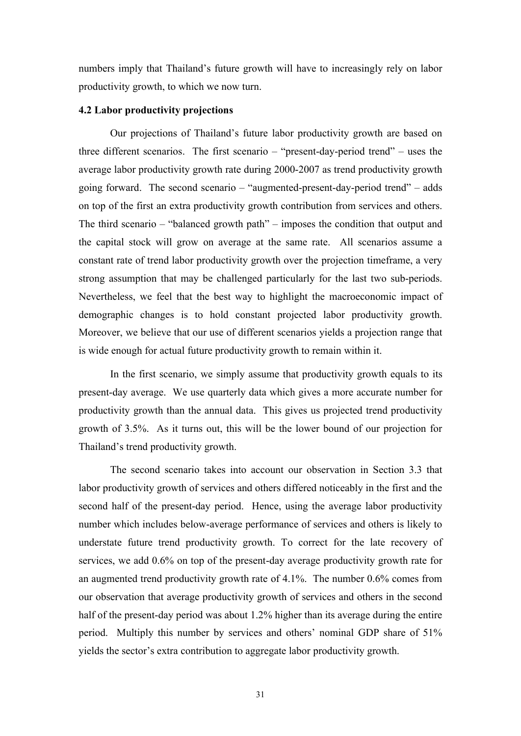numbers imply that Thailand's future growth will have to increasingly rely on labor productivity growth, to which we now turn.

#### **4.2 Labor productivity projections**

Our projections of Thailand's future labor productivity growth are based on three different scenarios. The first scenario – "present-day-period trend" – uses the average labor productivity growth rate during 2000-2007 as trend productivity growth going forward. The second scenario – "augmented-present-day-period trend" – adds on top of the first an extra productivity growth contribution from services and others. The third scenario – "balanced growth path" – imposes the condition that output and the capital stock will grow on average at the same rate. All scenarios assume a constant rate of trend labor productivity growth over the projection timeframe, a very strong assumption that may be challenged particularly for the last two sub-periods. Nevertheless, we feel that the best way to highlight the macroeconomic impact of demographic changes is to hold constant projected labor productivity growth. Moreover, we believe that our use of different scenarios yields a projection range that is wide enough for actual future productivity growth to remain within it.

In the first scenario, we simply assume that productivity growth equals to its present-day average. We use quarterly data which gives a more accurate number for productivity growth than the annual data. This gives us projected trend productivity growth of 3.5%. As it turns out, this will be the lower bound of our projection for Thailand's trend productivity growth.

The second scenario takes into account our observation in Section 3.3 that labor productivity growth of services and others differed noticeably in the first and the second half of the present-day period. Hence, using the average labor productivity number which includes below-average performance of services and others is likely to understate future trend productivity growth. To correct for the late recovery of services, we add 0.6% on top of the present-day average productivity growth rate for an augmented trend productivity growth rate of 4.1%. The number 0.6% comes from our observation that average productivity growth of services and others in the second half of the present-day period was about 1.2% higher than its average during the entire period. Multiply this number by services and others' nominal GDP share of 51% yields the sector's extra contribution to aggregate labor productivity growth.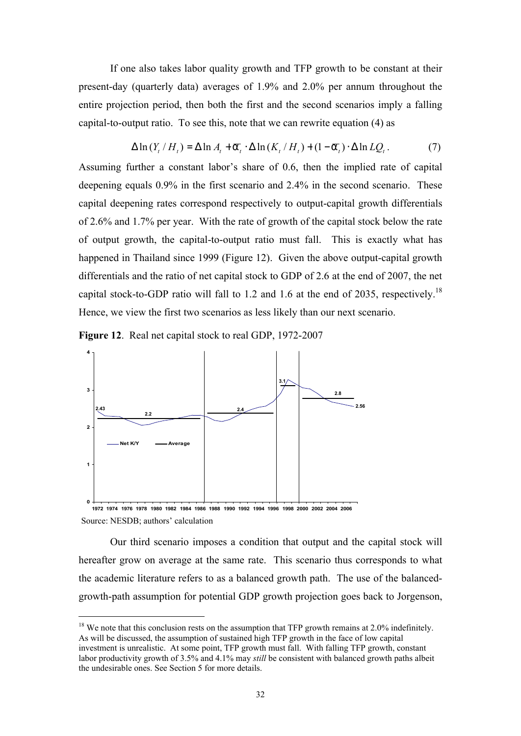If one also takes labor quality growth and TFP growth to be constant at their present-day (quarterly data) averages of 1.9% and 2.0% per annum throughout the entire projection period, then both the first and the second scenarios imply a falling capital-to-output ratio. To see this, note that we can rewrite equation (4) as

$$
\Delta \ln(Y_t / H_t) = \Delta \ln A_t + \overline{a}_t \cdot \Delta \ln(K_t / H_t) + (1 - \overline{a}_t) \cdot \Delta \ln LQ_t.
$$
 (7)

Assuming further a constant labor's share of 0.6, then the implied rate of capital deepening equals 0.9% in the first scenario and 2.4% in the second scenario. These capital deepening rates correspond respectively to output-capital growth differentials of 2.6% and 1.7% per year. With the rate of growth of the capital stock below the rate of output growth, the capital-to-output ratio must fall. This is exactly what has happened in Thailand since 1999 (Figure 12). Given the above output-capital growth differentials and the ratio of net capital stock to GDP of 2.6 at the end of 2007, the net capital stock-to-GDP ratio will fall to 1.2 and 1.6 at the end of 2035, respectively.<sup>18</sup> Hence, we view the first two scenarios as less likely than our next scenario.



 $\ddot{}$ 



Our third scenario imposes a condition that output and the capital stock will hereafter grow on average at the same rate. This scenario thus corresponds to what the academic literature refers to as a balanced growth path. The use of the balancedgrowth-path assumption for potential GDP growth projection goes back to Jorgenson,

 $18$  We note that this conclusion rests on the assumption that TFP growth remains at 2.0% indefinitely. As will be discussed, the assumption of sustained high TFP growth in the face of low capital investment is unrealistic. At some point, TFP growth must fall. With falling TFP growth, constant labor productivity growth of 3.5% and 4.1% may *still* be consistent with balanced growth paths albeit the undesirable ones. See Section 5 for more details.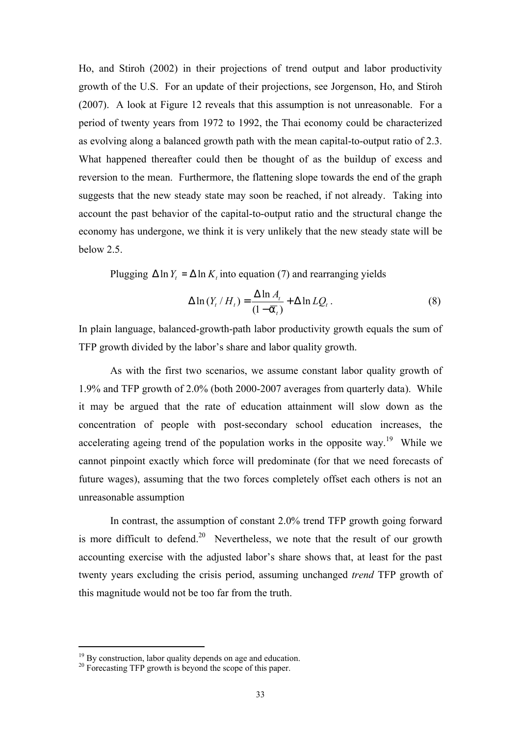Ho, and Stiroh (2002) in their projections of trend output and labor productivity growth of the U.S. For an update of their projections, see Jorgenson, Ho, and Stiroh (2007). A look at Figure 12 reveals that this assumption is not unreasonable. For a period of twenty years from 1972 to 1992, the Thai economy could be characterized as evolving along a balanced growth path with the mean capital-to-output ratio of 2.3. What happened thereafter could then be thought of as the buildup of excess and reversion to the mean. Furthermore, the flattening slope towards the end of the graph suggests that the new steady state may soon be reached, if not already. Taking into account the past behavior of the capital-to-output ratio and the structural change the economy has undergone, we think it is very unlikely that the new steady state will be below 2.5.

Plugging  $\Delta \ln Y_t = \Delta \ln K_t$  into equation (7) and rearranging yields

$$
\Delta \ln \left( Y_t / H_t \right) = \frac{\Delta \ln A_t}{\left( 1 - \overline{\sigma}_t \right)} + \Delta \ln L Q_t \,. \tag{8}
$$

In plain language, balanced-growth-path labor productivity growth equals the sum of TFP growth divided by the labor's share and labor quality growth.

As with the first two scenarios, we assume constant labor quality growth of 1.9% and TFP growth of 2.0% (both 2000-2007 averages from quarterly data). While it may be argued that the rate of education attainment will slow down as the concentration of people with post-secondary school education increases, the accelerating ageing trend of the population works in the opposite way.<sup>19</sup> While we cannot pinpoint exactly which force will predominate (for that we need forecasts of future wages), assuming that the two forces completely offset each others is not an unreasonable assumption

In contrast, the assumption of constant 2.0% trend TFP growth going forward is more difficult to defend.<sup>20</sup> Nevertheless, we note that the result of our growth accounting exercise with the adjusted labor's share shows that, at least for the past twenty years excluding the crisis period, assuming unchanged *trend* TFP growth of this magnitude would not be too far from the truth.

 $\ddot{}$ 

<sup>&</sup>lt;sup>19</sup> By construction, labor quality depends on age and education.

<sup>&</sup>lt;sup>20</sup> Forecasting TFP growth is beyond the scope of this paper.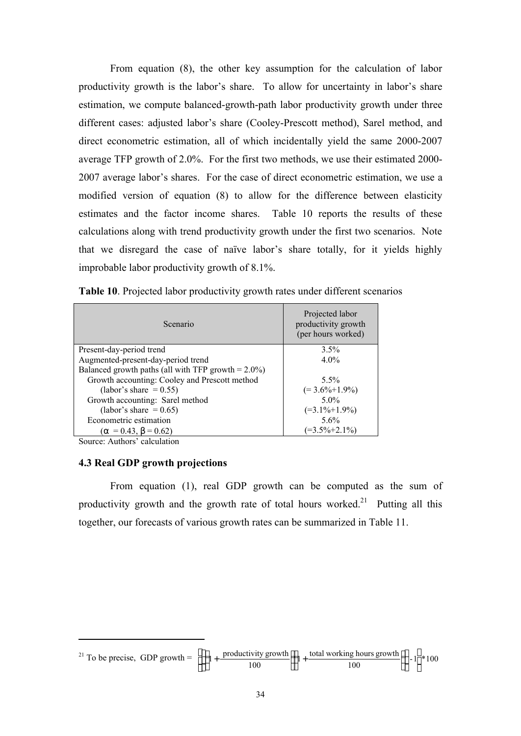From equation (8), the other key assumption for the calculation of labor productivity growth is the labor's share. To allow for uncertainty in labor's share estimation, we compute balanced-growth-path labor productivity growth under three different cases: adjusted labor's share (Cooley-Prescott method), Sarel method, and direct econometric estimation, all of which incidentally yield the same 2000-2007 average TFP growth of 2.0%. For the first two methods, we use their estimated 2000- 2007 average labor's shares. For the case of direct econometric estimation, we use a modified version of equation (8) to allow for the difference between elasticity estimates and the factor income shares. Table 10 reports the results of these calculations along with trend productivity growth under the first two scenarios. Note that we disregard the case of naïve labor's share totally, for it yields highly improbable labor productivity growth of 8.1%.

| Scenario                                               | Projected labor<br>productivity growth<br>(per hours worked) |
|--------------------------------------------------------|--------------------------------------------------------------|
| Present-day-period trend                               | 3.5%                                                         |
| Augmented-present-day-period trend                     | $4.0\%$                                                      |
| Balanced growth paths (all with TFP growth $= 2.0\%$ ) |                                                              |
| Growth accounting: Cooley and Prescott method          | $5.5\%$                                                      |
| (labor's share $= 0.55$ )                              | $(=3.6\% + 1.9\%)$                                           |
| Growth accounting: Sarel method                        | $5.0\%$                                                      |
| (labor's share $= 0.65$ )                              | $(=3.1\% + 1.9\%)$                                           |
| Econometric estimation                                 | $5.6\%$                                                      |
| $(\alpha = 0.43, \beta = 0.62)$                        | $(=3.5\% + 2.1\%)$                                           |

**Table 10**. Projected labor productivity growth rates under different scenarios

Source: Authors' calculation

 $\ddot{ }$ 

## **4.3 Real GDP growth projections**

From equation (1), real GDP growth can be computed as the sum of productivity growth and the growth rate of total hours worked.<sup>21</sup> Putting all this together, our forecasts of various growth rates can be summarized in Table 11.

<sup>21</sup> To be precise, GDP growth = 
$$
\left[ \left\{ \left( 1 + \frac{\text{productivity growth}}{100} \right) \left( 1 + \frac{\text{total working hours growth}}{100} \right) \right\} - 1 \right] * 100
$$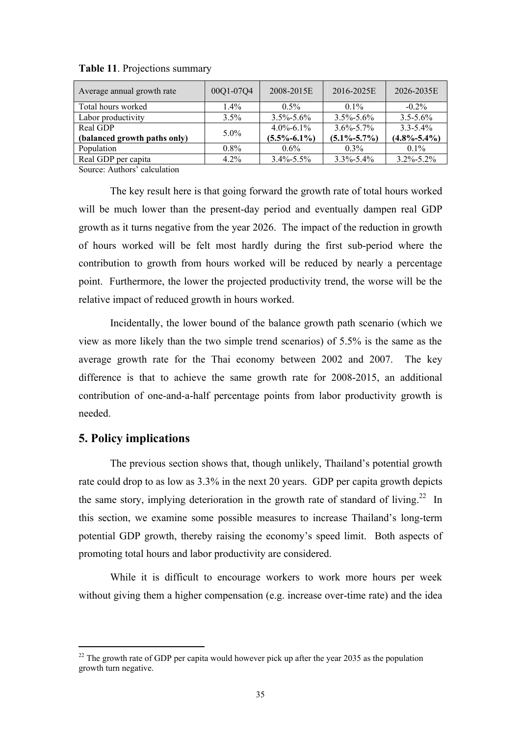| Average annual growth rate   | 00Q1-07Q4 | 2008-2015E        | 2016-2025E        | 2026-2035E        |
|------------------------------|-----------|-------------------|-------------------|-------------------|
| Total hours worked           | $1.4\%$   | $0.5\%$           | $0.1\%$           | $-0.2\%$          |
| Labor productivity           | $3.5\%$   | $3.5\% - 5.6\%$   | $3.5\% - 5.6\%$   | $3.5 - 5.6\%$     |
| Real GDP                     | $5.0\%$   | $4.0\% - 6.1\%$   | $3.6\% - 5.7\%$   | $3.3 - 5.4\%$     |
| (balanced growth paths only) |           | $(5.5\% - 6.1\%)$ | $(5.1\% - 5.7\%)$ | $(4.8\% - 5.4\%)$ |
| Population                   | $0.8\%$   | $0.6\%$           | $0.3\%$           | $0.1\%$           |
| Real GDP per capita          | $4.2\%$   | $3.4\% - 5.5\%$   | $3.3\% - 5.4\%$   | $3.2\% - 5.2\%$   |

**Table 11**. Projections summary

Source: Authors' calculation

The key result here is that going forward the growth rate of total hours worked will be much lower than the present-day period and eventually dampen real GDP growth as it turns negative from the year 2026. The impact of the reduction in growth of hours worked will be felt most hardly during the first sub-period where the contribution to growth from hours worked will be reduced by nearly a percentage point. Furthermore, the lower the projected productivity trend, the worse will be the relative impact of reduced growth in hours worked.

Incidentally, the lower bound of the balance growth path scenario (which we view as more likely than the two simple trend scenarios) of 5.5% is the same as the average growth rate for the Thai economy between 2002 and 2007. The key difference is that to achieve the same growth rate for 2008-2015, an additional contribution of one-and-a-half percentage points from labor productivity growth is needed.

### **5. Policy implications**

 $\ddot{}$ 

The previous section shows that, though unlikely, Thailand's potential growth rate could drop to as low as 3.3% in the next 20 years. GDP per capita growth depicts the same story, implying deterioration in the growth rate of standard of living.<sup>22</sup> In this section, we examine some possible measures to increase Thailand's long-term potential GDP growth, thereby raising the economy's speed limit. Both aspects of promoting total hours and labor productivity are considered.

While it is difficult to encourage workers to work more hours per week without giving them a higher compensation (e.g. increase over-time rate) and the idea

 $^{22}$  The growth rate of GDP per capita would however pick up after the year 2035 as the population growth turn negative.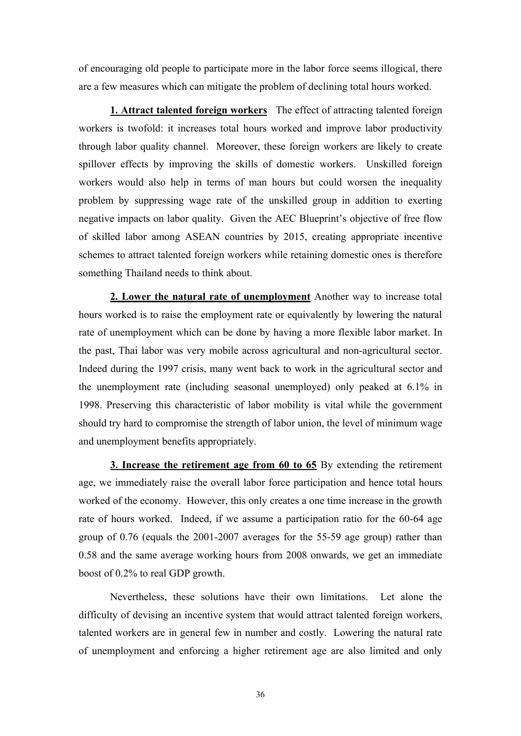of encouraging old people to participate more in the labor force seems illogical, there are a few measures which can mitigate the problem of declining total hours worked.

**1. Attract talented foreign workers** The effect of attracting talented foreign workers is twofold: it increases total hours worked and improve labor productivity through labor quality channel. Moreover, these foreign workers are likely to create spillover effects by improving the skills of domestic workers. Unskilled foreign workers would also help in terms of man hours but could worsen the inequality problem by suppressing wage rate of the unskilled group in addition to exerting negative impacts on labor quality. Given the AEC Blueprint's objective of free flow of skilled labor among ASEAN countries by 2015, creating appropriate incentive schemes to attract talented foreign workers while retaining domestic ones is therefore something Thailand needs to think about.

**2. Lower the natural rate of unemployment** Another way to increase total hours worked is to raise the employment rate or equivalently by lowering the natural rate of unemployment which can be done by having a more flexible labor market. In the past, Thai labor was very mobile across agricultural and non-agricultural sector. Indeed during the 1997 crisis, many went back to work in the agricultural sector and the unemployment rate (including seasonal unemployed) only peaked at 6.1% in 1998. Preserving this characteristic of labor mobility is vital while the government should try hard to compromise the strength of labor union, the level of minimum wage and unemployment benefits appropriately.

**3. Increase the retirement age from 60 to 65** By extending the retirement age, we immediately raise the overall labor force participation and hence total hours worked of the economy. However, this only creates a one time increase in the growth rate of hours worked. Indeed, if we assume a participation ratio for the 60-64 age group of 0.76 (equals the 2001-2007 averages for the 55-59 age group) rather than 0.58 and the same average working hours from 2008 onwards, we get an immediate boost of 0.2% to real GDP growth.

Nevertheless, these solutions have their own limitations. Let alone the difficulty of devising an incentive system that would attract talented foreign workers, talented workers are in general few in number and costly. Lowering the natural rate of unemployment and enforcing a higher retirement age are also limited and only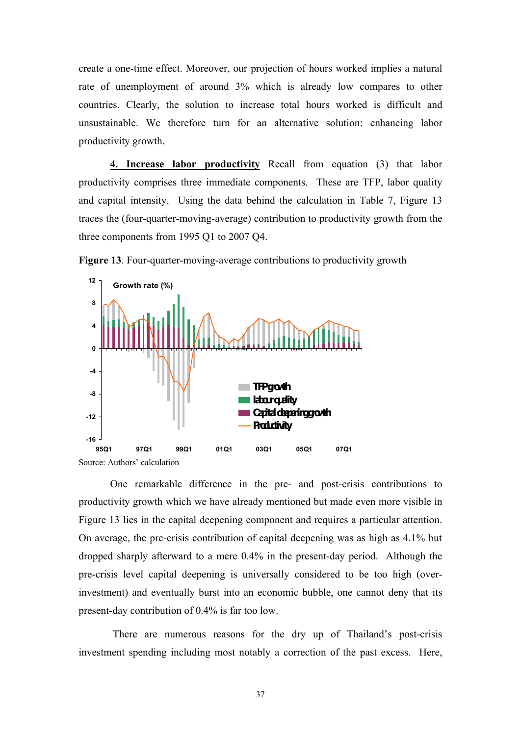create a one-time effect. Moreover, our projection of hours worked implies a natural rate of unemployment of around 3% which is already low compares to other countries. Clearly, the solution to increase total hours worked is difficult and unsustainable. We therefore turn for an alternative solution: enhancing labor productivity growth.

**4. Increase labor productivity** Recall from equation (3) that labor productivity comprises three immediate components. These are TFP, labor quality and capital intensity. Using the data behind the calculation in Table 7, Figure 13 traces the (four-quarter-moving-average) contribution to productivity growth from the three components from 1995 Q1 to 2007 Q4.



**Figure 13**. Four-quarter-moving-average contributions to productivity growth

Source: Authors' calculation

One remarkable difference in the pre- and post-crisis contributions to productivity growth which we have already mentioned but made even more visible in Figure 13 lies in the capital deepening component and requires a particular attention. On average, the pre-crisis contribution of capital deepening was as high as 4.1% but dropped sharply afterward to a mere 0.4% in the present-day period. Although the pre-crisis level capital deepening is universally considered to be too high (overinvestment) and eventually burst into an economic bubble, one cannot deny that its present-day contribution of 0.4% is far too low.

There are numerous reasons for the dry up of Thailand's post-crisis investment spending including most notably a correction of the past excess. Here,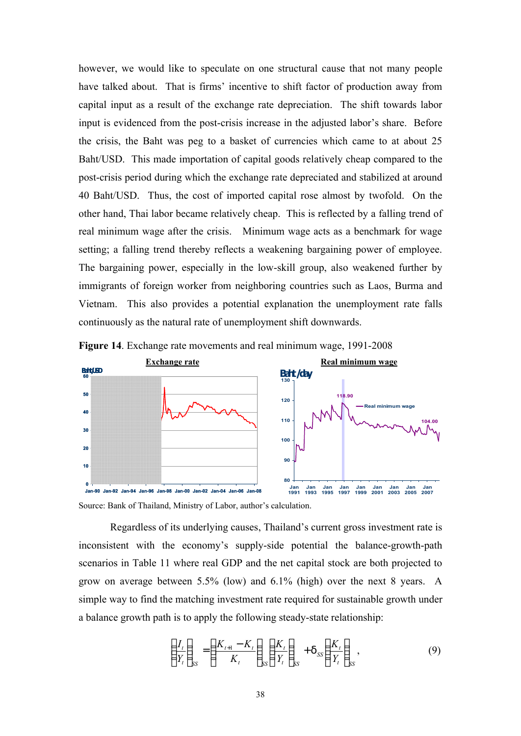however, we would like to speculate on one structural cause that not many people have talked about. That is firms' incentive to shift factor of production away from capital input as a result of the exchange rate depreciation. The shift towards labor input is evidenced from the post-crisis increase in the adjusted labor's share. Before the crisis, the Baht was peg to a basket of currencies which came to at about 25 Baht/USD. This made importation of capital goods relatively cheap compared to the post-crisis period during which the exchange rate depreciated and stabilized at around 40 Baht/USD. Thus, the cost of imported capital rose almost by twofold. On the other hand, Thai labor became relatively cheap. This is reflected by a falling trend of real minimum wage after the crisis. Minimum wage acts as a benchmark for wage setting; a falling trend thereby reflects a weakening bargaining power of employee. The bargaining power, especially in the low-skill group, also weakened further by immigrants of foreign worker from neighboring countries such as Laos, Burma and Vietnam. This also provides a potential explanation the unemployment rate falls continuously as the natural rate of unemployment shift downwards.





Source: Bank of Thailand, Ministry of Labor, author's calculation.

Regardless of its underlying causes, Thailand's current gross investment rate is inconsistent with the economy's supply-side potential the balance-growth-path scenarios in Table 11 where real GDP and the net capital stock are both projected to grow on average between 5.5% (low) and 6.1% (high) over the next 8 years. A simple way to find the matching investment rate required for sustainable growth under a balance growth path is to apply the following steady-state relationship:

$$
\left(\frac{I_t}{Y_t}\right)_{SS} = \left(\frac{K_{t+1} - K_t}{K_t}\right)_{SS} \left(\frac{K_t}{Y_t}\right)_{SS} + d_{SS} \left(\frac{K_t}{Y_t}\right)_{SS},\tag{9}
$$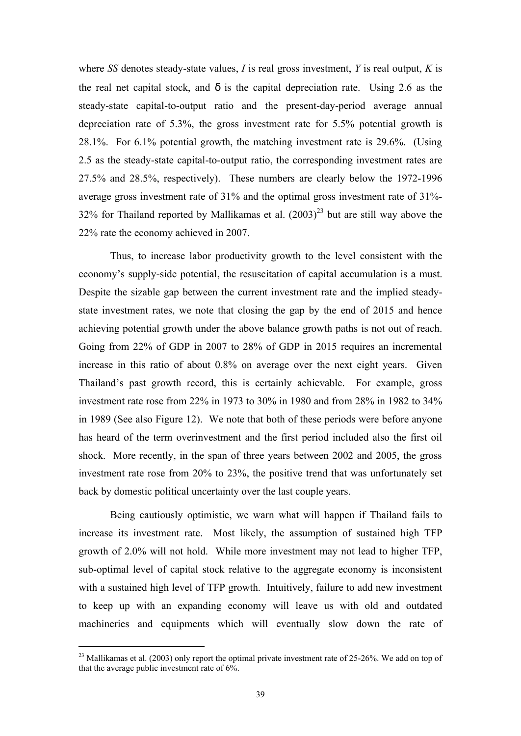where *SS* denotes steady-state values, *I* is real gross investment, *Y* is real output, *K* is the real net capital stock, and *d* is the capital depreciation rate. Using 2.6 as the steady-state capital-to-output ratio and the present-day-period average annual depreciation rate of 5.3%, the gross investment rate for 5.5% potential growth is 28.1%. For 6.1% potential growth, the matching investment rate is 29.6%. (Using 2.5 as the steady-state capital-to-output ratio, the corresponding investment rates are 27.5% and 28.5%, respectively). These numbers are clearly below the 1972-1996 average gross investment rate of 31% and the optimal gross investment rate of 31%- 32% for Thailand reported by Mallikamas et al.  $(2003)^{23}$  but are still way above the 22% rate the economy achieved in 2007.

Thus, to increase labor productivity growth to the level consistent with the economy's supply-side potential, the resuscitation of capital accumulation is a must. Despite the sizable gap between the current investment rate and the implied steadystate investment rates, we note that closing the gap by the end of 2015 and hence achieving potential growth under the above balance growth paths is not out of reach. Going from 22% of GDP in 2007 to 28% of GDP in 2015 requires an incremental increase in this ratio of about 0.8% on average over the next eight years. Given Thailand's past growth record, this is certainly achievable. For example, gross investment rate rose from 22% in 1973 to 30% in 1980 and from 28% in 1982 to 34% in 1989 (See also Figure 12). We note that both of these periods were before anyone has heard of the term overinvestment and the first period included also the first oil shock. More recently, in the span of three years between 2002 and 2005, the gross investment rate rose from 20% to 23%, the positive trend that was unfortunately set back by domestic political uncertainty over the last couple years.

Being cautiously optimistic, we warn what will happen if Thailand fails to increase its investment rate. Most likely, the assumption of sustained high TFP growth of 2.0% will not hold. While more investment may not lead to higher TFP, sub-optimal level of capital stock relative to the aggregate economy is inconsistent with a sustained high level of TFP growth. Intuitively, failure to add new investment to keep up with an expanding economy will leave us with old and outdated machineries and equipments which will eventually slow down the rate of

 $\ddot{}$ 

<sup>&</sup>lt;sup>23</sup> Mallikamas et al. (2003) only report the optimal private investment rate of 25-26%. We add on top of that the average public investment rate of 6%.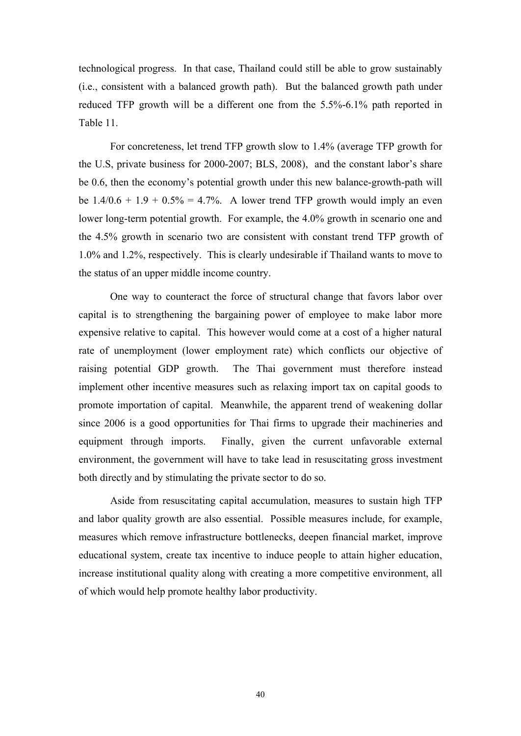technological progress. In that case, Thailand could still be able to grow sustainably (i.e., consistent with a balanced growth path). But the balanced growth path under reduced TFP growth will be a different one from the 5.5%-6.1% path reported in Table 11.

For concreteness, let trend TFP growth slow to 1.4% (average TFP growth for the U.S, private business for 2000-2007; BLS, 2008), and the constant labor's share be 0.6, then the economy's potential growth under this new balance-growth-path will be  $1.4/0.6 + 1.9 + 0.5\% = 4.7\%$ . A lower trend TFP growth would imply an even lower long-term potential growth. For example, the 4.0% growth in scenario one and the 4.5% growth in scenario two are consistent with constant trend TFP growth of 1.0% and 1.2%, respectively. This is clearly undesirable if Thailand wants to move to the status of an upper middle income country.

One way to counteract the force of structural change that favors labor over capital is to strengthening the bargaining power of employee to make labor more expensive relative to capital. This however would come at a cost of a higher natural rate of unemployment (lower employment rate) which conflicts our objective of raising potential GDP growth. The Thai government must therefore instead implement other incentive measures such as relaxing import tax on capital goods to promote importation of capital. Meanwhile, the apparent trend of weakening dollar since 2006 is a good opportunities for Thai firms to upgrade their machineries and equipment through imports. Finally, given the current unfavorable external environment, the government will have to take lead in resuscitating gross investment both directly and by stimulating the private sector to do so.

Aside from resuscitating capital accumulation, measures to sustain high TFP and labor quality growth are also essential. Possible measures include, for example, measures which remove infrastructure bottlenecks, deepen financial market, improve educational system, create tax incentive to induce people to attain higher education, increase institutional quality along with creating a more competitive environment, all of which would help promote healthy labor productivity.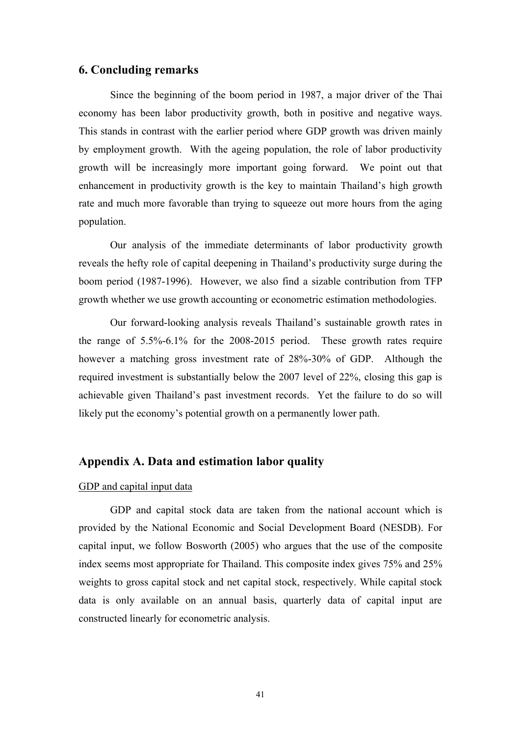## **6. Concluding remarks**

Since the beginning of the boom period in 1987, a major driver of the Thai economy has been labor productivity growth, both in positive and negative ways. This stands in contrast with the earlier period where GDP growth was driven mainly by employment growth. With the ageing population, the role of labor productivity growth will be increasingly more important going forward. We point out that enhancement in productivity growth is the key to maintain Thailand's high growth rate and much more favorable than trying to squeeze out more hours from the aging population.

Our analysis of the immediate determinants of labor productivity growth reveals the hefty role of capital deepening in Thailand's productivity surge during the boom period (1987-1996). However, we also find a sizable contribution from TFP growth whether we use growth accounting or econometric estimation methodologies.

Our forward-looking analysis reveals Thailand's sustainable growth rates in the range of 5.5%-6.1% for the 2008-2015 period. These growth rates require however a matching gross investment rate of 28%-30% of GDP. Although the required investment is substantially below the 2007 level of 22%, closing this gap is achievable given Thailand's past investment records. Yet the failure to do so will likely put the economy's potential growth on a permanently lower path.

## **Appendix A. Data and estimation labor quality**

#### GDP and capital input data

GDP and capital stock data are taken from the national account which is provided by the National Economic and Social Development Board (NESDB). For capital input, we follow Bosworth (2005) who argues that the use of the composite index seems most appropriate for Thailand. This composite index gives 75% and 25% weights to gross capital stock and net capital stock, respectively. While capital stock data is only available on an annual basis, quarterly data of capital input are constructed linearly for econometric analysis.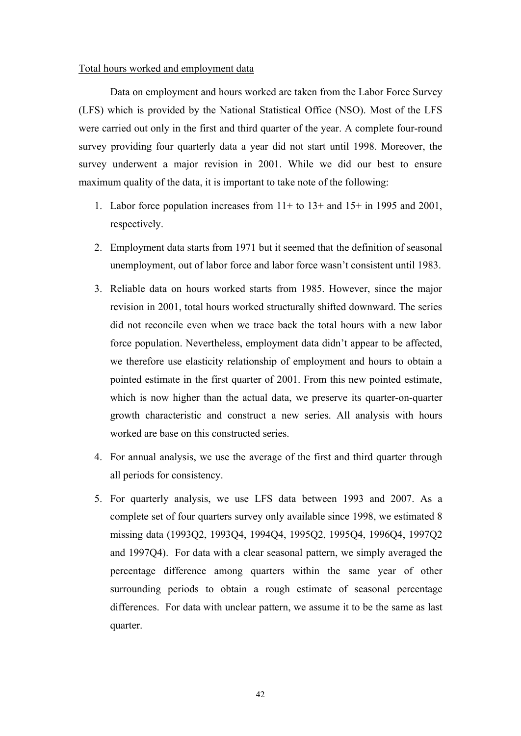#### Total hours worked and employment data

Data on employment and hours worked are taken from the Labor Force Survey (LFS) which is provided by the National Statistical Office (NSO). Most of the LFS were carried out only in the first and third quarter of the year. A complete four-round survey providing four quarterly data a year did not start until 1998. Moreover, the survey underwent a major revision in 2001. While we did our best to ensure maximum quality of the data, it is important to take note of the following:

- 1. Labor force population increases from 11+ to 13+ and 15+ in 1995 and 2001, respectively.
- 2. Employment data starts from 1971 but it seemed that the definition of seasonal unemployment, out of labor force and labor force wasn't consistent until 1983.
- 3. Reliable data on hours worked starts from 1985. However, since the major revision in 2001, total hours worked structurally shifted downward. The series did not reconcile even when we trace back the total hours with a new labor force population. Nevertheless, employment data didn't appear to be affected, we therefore use elasticity relationship of employment and hours to obtain a pointed estimate in the first quarter of 2001. From this new pointed estimate, which is now higher than the actual data, we preserve its quarter-on-quarter growth characteristic and construct a new series. All analysis with hours worked are base on this constructed series.
- 4. For annual analysis, we use the average of the first and third quarter through all periods for consistency.
- 5. For quarterly analysis, we use LFS data between 1993 and 2007. As a complete set of four quarters survey only available since 1998, we estimated 8 missing data (1993Q2, 1993Q4, 1994Q4, 1995Q2, 1995Q4, 1996Q4, 1997Q2 and 1997Q4). For data with a clear seasonal pattern, we simply averaged the percentage difference among quarters within the same year of other surrounding periods to obtain a rough estimate of seasonal percentage differences. For data with unclear pattern, we assume it to be the same as last quarter.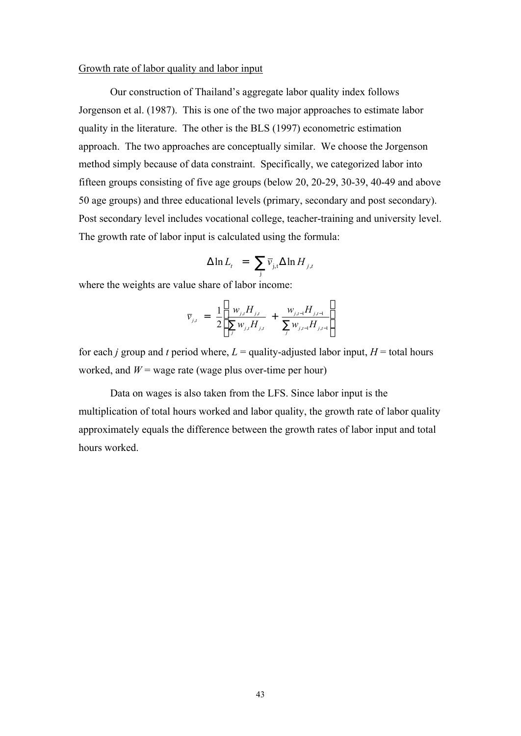### Growth rate of labor quality and labor input

 Our construction of Thailand's aggregate labor quality index follows Jorgenson et al. (1987). This is one of the two major approaches to estimate labor quality in the literature. The other is the BLS (1997) econometric estimation approach. The two approaches are conceptually similar. We choose the Jorgenson method simply because of data constraint. Specifically, we categorized labor into fifteen groups consisting of five age groups (below 20, 20-29, 30-39, 40-49 and above 50 age groups) and three educational levels (primary, secondary and post secondary). Post secondary level includes vocational college, teacher-training and university level. The growth rate of labor input is calculated using the formula:

$$
\Delta \ln L_t = \sum_{j} \overline{v}_{j,t} \Delta \ln H_{j,t}
$$

where the weights are value share of labor income:

$$
\overline{v}_{j,t} = \frac{1}{2} \left[ \frac{w_{j,t} H_{j,t}}{\sum_j w_{j,t} H_{j,t}} + \frac{w_{j,t-1} H_{j,t-1}}{\sum_j w_{j,t-1} H_{j,t-1}} \right]
$$

for each *j* group and *t* period where,  $L =$  quality-adjusted labor input,  $H =$  total hours worked, and  $W$  = wage rate (wage plus over-time per hour)

Data on wages is also taken from the LFS. Since labor input is the multiplication of total hours worked and labor quality, the growth rate of labor quality approximately equals the difference between the growth rates of labor input and total hours worked.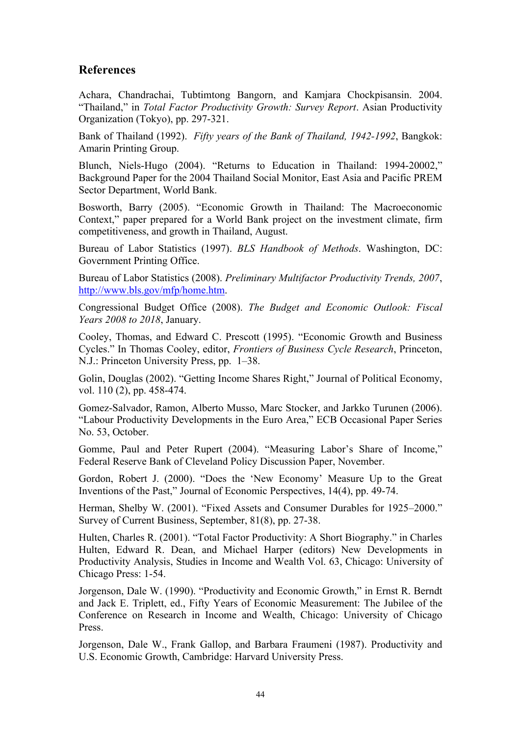# **References**

Achara, Chandrachai, Tubtimtong Bangorn, and Kamjara Chockpisansin. 2004. "Thailand," in *Total Factor Productivity Growth: Survey Report*. Asian Productivity Organization (Tokyo), pp. 297-321.

Bank of Thailand (1992). *Fifty years of the Bank of Thailand, 1942-1992*, Bangkok: Amarin Printing Group.

Blunch, Niels-Hugo (2004). "Returns to Education in Thailand: 1994-20002," Background Paper for the 2004 Thailand Social Monitor, East Asia and Pacific PREM Sector Department, World Bank.

Bosworth, Barry (2005). "Economic Growth in Thailand: The Macroeconomic Context," paper prepared for a World Bank project on the investment climate, firm competitiveness, and growth in Thailand, August.

Bureau of Labor Statistics (1997). *BLS Handbook of Methods*. Washington, DC: Government Printing Office.

Bureau of Labor Statistics (2008). *Preliminary Multifactor Productivity Trends, 2007*, http://www.bls.gov/mfp/home.htm.

Congressional Budget Office (2008). *The Budget and Economic Outlook: Fiscal Years 2008 to 2018*, January.

Cooley, Thomas, and Edward C. Prescott (1995). "Economic Growth and Business Cycles." In Thomas Cooley, editor, *Frontiers of Business Cycle Research*, Princeton, N.J.: Princeton University Press, pp. 1–38.

Golin, Douglas (2002). "Getting Income Shares Right," Journal of Political Economy, vol. 110 (2), pp. 458-474.

Gomez-Salvador, Ramon, Alberto Musso, Marc Stocker, and Jarkko Turunen (2006). "Labour Productivity Developments in the Euro Area," ECB Occasional Paper Series No. 53, October.

Gomme, Paul and Peter Rupert (2004). "Measuring Labor's Share of Income," Federal Reserve Bank of Cleveland Policy Discussion Paper, November.

Gordon, Robert J. (2000). "Does the 'New Economy' Measure Up to the Great Inventions of the Past," Journal of Economic Perspectives, 14(4), pp. 49-74.

Herman, Shelby W. (2001). "Fixed Assets and Consumer Durables for 1925–2000." Survey of Current Business, September, 81(8), pp. 27-38.

Hulten, Charles R. (2001). "Total Factor Productivity: A Short Biography." in Charles Hulten, Edward R. Dean, and Michael Harper (editors) New Developments in Productivity Analysis, Studies in Income and Wealth Vol. 63, Chicago: University of Chicago Press: 1-54.

Jorgenson, Dale W. (1990). "Productivity and Economic Growth," in Ernst R. Berndt and Jack E. Triplett, ed., Fifty Years of Economic Measurement: The Jubilee of the Conference on Research in Income and Wealth, Chicago: University of Chicago Press.

Jorgenson, Dale W., Frank Gallop, and Barbara Fraumeni (1987). Productivity and U.S. Economic Growth, Cambridge: Harvard University Press.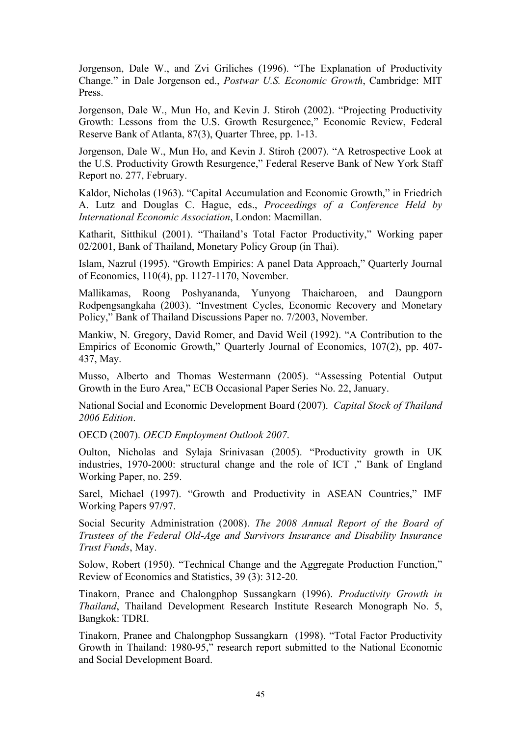Jorgenson, Dale W., and Zvi Griliches (1996). "The Explanation of Productivity Change." in Dale Jorgenson ed., *Postwar U.S. Economic Growth*, Cambridge: MIT Press.

Jorgenson, Dale W., Mun Ho, and Kevin J. Stiroh (2002). "Projecting Productivity Growth: Lessons from the U.S. Growth Resurgence," Economic Review, Federal Reserve Bank of Atlanta, 87(3), Quarter Three, pp. 1-13.

Jorgenson, Dale W., Mun Ho, and Kevin J. Stiroh (2007). "A Retrospective Look at the U.S. Productivity Growth Resurgence," Federal Reserve Bank of New York Staff Report no. 277, February.

Kaldor, Nicholas (1963). "Capital Accumulation and Economic Growth," in Friedrich A. Lutz and Douglas C. Hague, eds., *Proceedings of a Conference Held by International Economic Association*, London: Macmillan.

Katharit, Sitthikul (2001). "Thailand's Total Factor Productivity," Working paper 02/2001, Bank of Thailand, Monetary Policy Group (in Thai).

Islam, Nazrul (1995). "Growth Empirics: A panel Data Approach," Quarterly Journal of Economics, 110(4), pp. 1127-1170, November.

Mallikamas, Roong Poshyananda, Yunyong Thaicharoen, and Daungporn Rodpengsangkaha (2003). "Investment Cycles, Economic Recovery and Monetary Policy," Bank of Thailand Discussions Paper no. 7/2003, November.

Mankiw, N. Gregory, David Romer, and David Weil (1992). "A Contribution to the Empirics of Economic Growth," Quarterly Journal of Economics, 107(2), pp. 407- 437, May.

Musso, Alberto and Thomas Westermann (2005). "Assessing Potential Output Growth in the Euro Area," ECB Occasional Paper Series No. 22, January.

National Social and Economic Development Board (2007). *Capital Stock of Thailand 2006 Edition*.

OECD (2007). *OECD Employment Outlook 2007*.

Oulton, Nicholas and Sylaja Srinivasan (2005). "Productivity growth in UK industries, 1970-2000: structural change and the role of ICT ," Bank of England Working Paper, no. 259.

Sarel, Michael (1997). "Growth and Productivity in ASEAN Countries," IMF Working Papers 97/97.

Social Security Administration (2008). *The 2008 Annual Report of the Board of Trustees of the Federal Old-Age and Survivors Insurance and Disability Insurance Trust Funds*, May.

Solow, Robert (1950). "Technical Change and the Aggregate Production Function," Review of Economics and Statistics, 39 (3): 312-20.

Tinakorn, Pranee and Chalongphop Sussangkarn (1996). *Productivity Growth in Thailand*, Thailand Development Research Institute Research Monograph No. 5, Bangkok: TDRI.

Tinakorn, Pranee and Chalongphop Sussangkarn (1998). "Total Factor Productivity Growth in Thailand: 1980-95," research report submitted to the National Economic and Social Development Board.